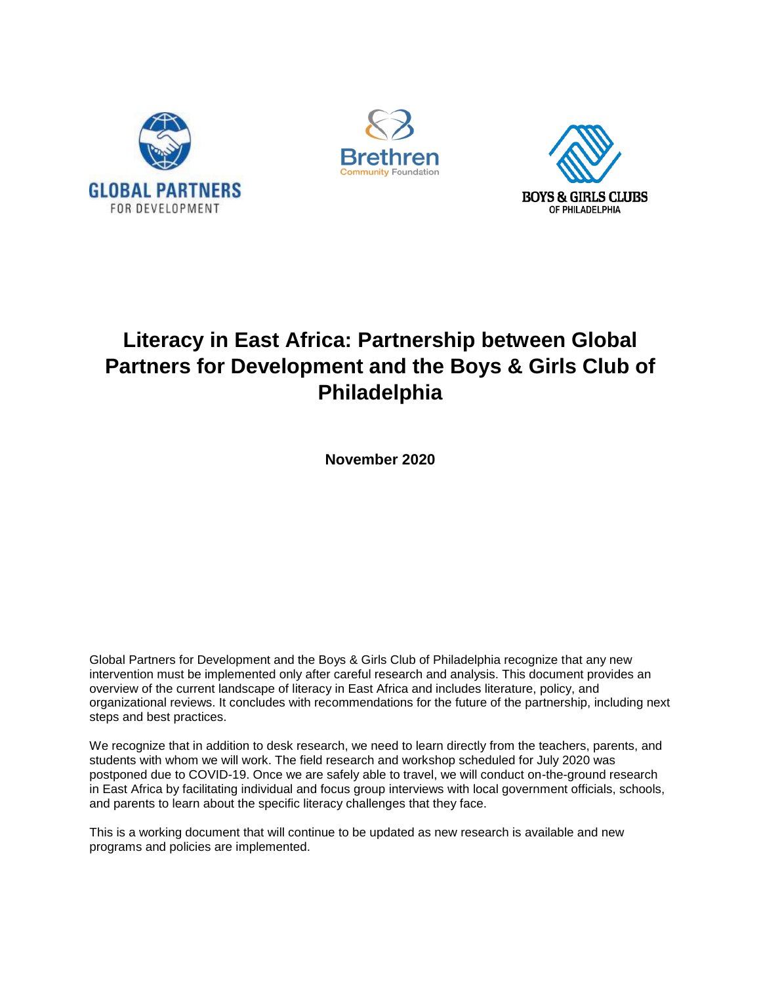





# **Literacy in East Africa: Partnership between Global Partners for Development and the Boys & Girls Club of Philadelphia**

**November 2020**

Global Partners for Development and the Boys & Girls Club of Philadelphia recognize that any new intervention must be implemented only after careful research and analysis. This document provides an overview of the current landscape of literacy in East Africa and includes literature, policy, and organizational reviews. It concludes with recommendations for the future of the partnership, including next steps and best practices.

We recognize that in addition to desk research, we need to learn directly from the teachers, parents, and students with whom we will work. The field research and workshop scheduled for July 2020 was postponed due to COVID-19. Once we are safely able to travel, we will conduct on-the-ground research in East Africa by facilitating individual and focus group interviews with local government officials, schools, and parents to learn about the specific literacy challenges that they face.

This is a working document that will continue to be updated as new research is available and new programs and policies are implemented.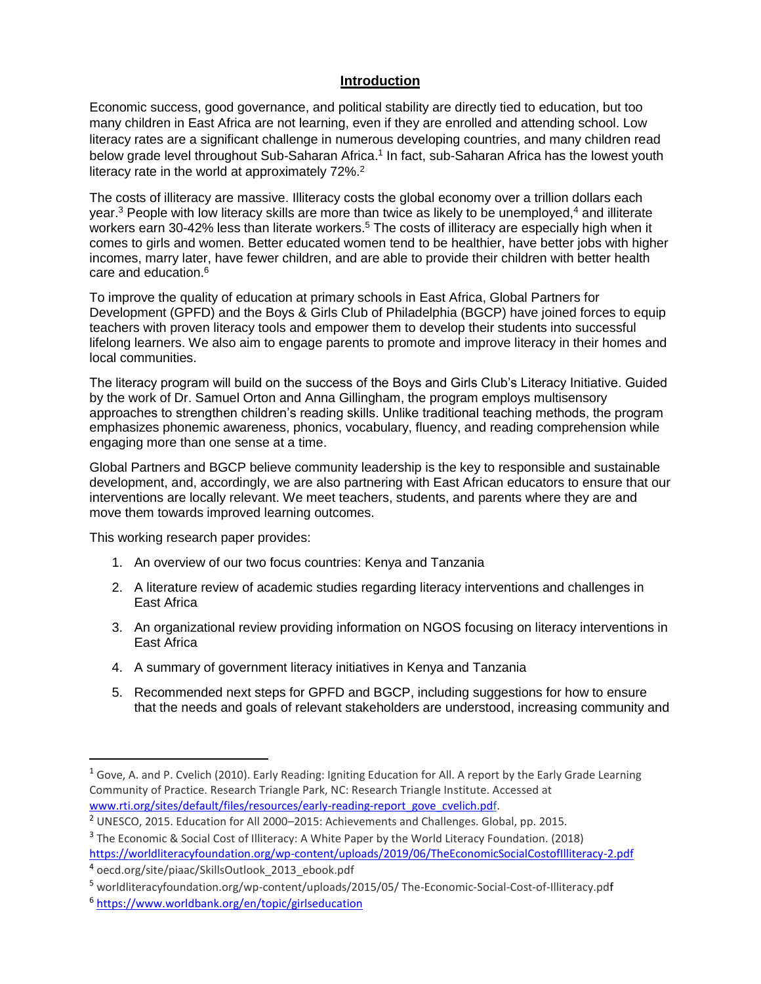#### **Introduction**

Economic success, good governance, and political stability are directly tied to education, but too many children in East Africa are not learning, even if they are enrolled and attending school. Low literacy rates are a significant challenge in numerous developing countries, and many children read below grade level throughout Sub-Saharan Africa.<sup>1</sup> In fact, sub-Saharan Africa has the lowest youth literacy rate in the world at approximately 72%.<sup>2</sup>

The costs of illiteracy are massive. Illiteracy costs the global economy over a trillion dollars each year.<sup>3</sup> People with low literacy skills are more than twice as likely to be unemployed,<sup>4</sup> and illiterate workers earn 30-42% less than literate workers.<sup>5</sup> The costs of illiteracy are especially high when it comes to girls and women. Better educated women tend to be healthier, have better jobs with higher incomes, marry later, have fewer children, and are able to provide their children with better health care and education.<sup>6</sup>

To improve the quality of education at primary schools in East Africa, Global Partners for Development (GPFD) and the Boys & Girls Club of Philadelphia (BGCP) have joined forces to equip teachers with proven literacy tools and empower them to develop their students into successful lifelong learners. We also aim to engage parents to promote and improve literacy in their homes and local communities.

The literacy program will build on the success of the Boys and Girls Club's Literacy Initiative. Guided by the work of Dr. Samuel Orton and Anna Gillingham, the program employs multisensory approaches to strengthen children's reading skills. Unlike traditional teaching methods, the program emphasizes phonemic awareness, phonics, vocabulary, fluency, and reading comprehension while engaging more than one sense at a time.

Global Partners and BGCP believe community leadership is the key to responsible and sustainable development, and, accordingly, we are also partnering with East African educators to ensure that our interventions are locally relevant. We meet teachers, students, and parents where they are and move them towards improved learning outcomes.

This working research paper provides:

- 1. An overview of our two focus countries: Kenya and Tanzania
- 2. A literature review of academic studies regarding literacy interventions and challenges in East Africa
- 3. An organizational review providing information on NGOS focusing on literacy interventions in East Africa
- 4. A summary of government literacy initiatives in Kenya and Tanzania
- 5. Recommended next steps for GPFD and BGCP, including suggestions for how to ensure that the needs and goals of relevant stakeholders are understood, increasing community and

<sup>1</sup> Gove, A. and P. Cvelich (2010). Early Reading: Igniting Education for All. A report by the Early Grade Learning Community of Practice. Research Triangle Park, NC: Research Triangle Institute. Accessed at [www.rti.org/sites/default/files/resources/early-reading-report\\_gove\\_cvelich.pdf.](http://www.rti.org/sites/default/files/resources/early-reading-report_gove_cvelich.pdf)

<sup>2</sup> UNESCO, 2015. Education for All 2000–2015: Achievements and Challenges. Global, pp. 2015.

<sup>&</sup>lt;sup>3</sup> The Economic & Social Cost of Illiteracy: A White Paper by the World Literacy Foundation. (2018) <https://worldliteracyfoundation.org/wp-content/uploads/2019/06/TheEconomicSocialCostofIlliteracy-2.pdf> 4 oecd.org/site/piaac/SkillsOutlook\_2013\_ebook.pdf

<sup>5</sup> worldliteracyfoundation.org/wp-content/uploads/2015/05/ The-Economic-Social-Cost-of-Illiteracy.pdf

<sup>6</sup> <https://www.worldbank.org/en/topic/girlseducation>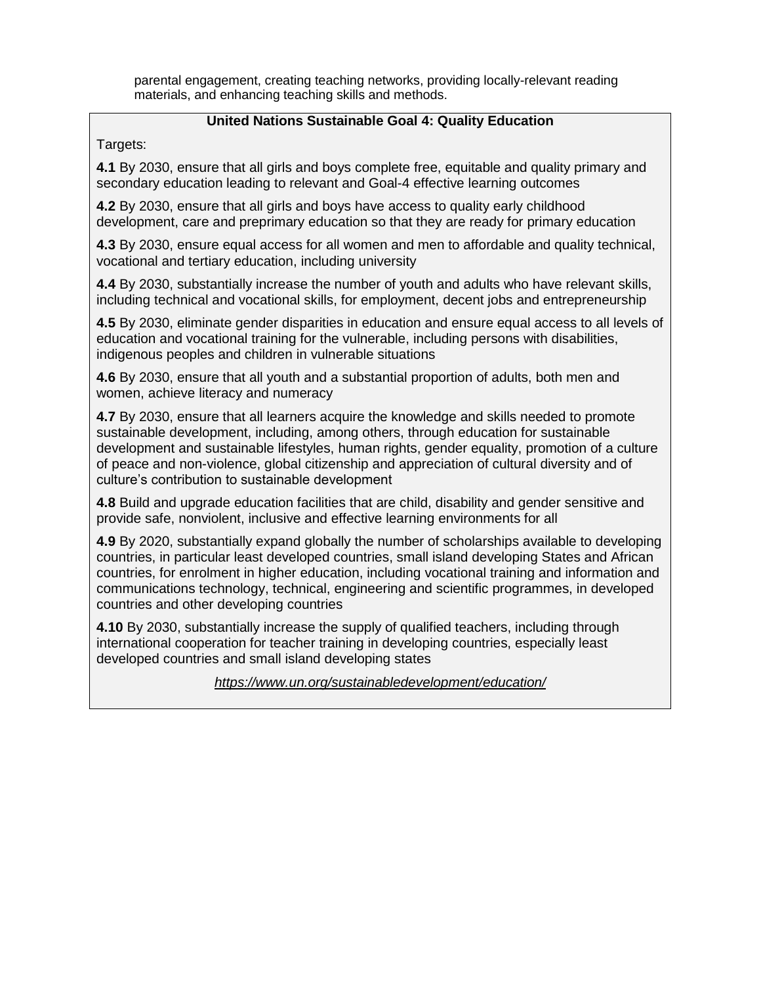parental engagement, creating teaching networks, providing locally-relevant reading materials, and enhancing teaching skills and methods.

#### **United Nations Sustainable Goal 4: Quality Education**

Targets:

**4.1** By 2030, ensure that all girls and boys complete free, equitable and quality primary and secondary education leading to relevant and Goal-4 effective learning outcomes

**4.2** By 2030, ensure that all girls and boys have access to quality early childhood development, care and preprimary education so that they are ready for primary education

**4.3** By 2030, ensure equal access for all women and men to affordable and quality technical, vocational and tertiary education, including university

**4.4** By 2030, substantially increase the number of youth and adults who have relevant skills, including technical and vocational skills, for employment, decent jobs and entrepreneurship

**4.5** By 2030, eliminate gender disparities in education and ensure equal access to all levels of education and vocational training for the vulnerable, including persons with disabilities, indigenous peoples and children in vulnerable situations

**4.6** By 2030, ensure that all youth and a substantial proportion of adults, both men and women, achieve literacy and numeracy

**4.7** By 2030, ensure that all learners acquire the knowledge and skills needed to promote sustainable development, including, among others, through education for sustainable development and sustainable lifestyles, human rights, gender equality, promotion of a culture of peace and non-violence, global citizenship and appreciation of cultural diversity and of culture's contribution to sustainable development

**4.8** Build and upgrade education facilities that are child, disability and gender sensitive and provide safe, nonviolent, inclusive and effective learning environments for all

**4.9** By 2020, substantially expand globally the number of scholarships available to developing countries, in particular least developed countries, small island developing States and African countries, for enrolment in higher education, including vocational training and information and communications technology, technical, engineering and scientific programmes, in developed countries and other developing countries

**4.10** By 2030, substantially increase the supply of qualified teachers, including through international cooperation for teacher training in developing countries, especially least developed countries and small island developing states

*<https://www.un.org/sustainabledevelopment/education/>*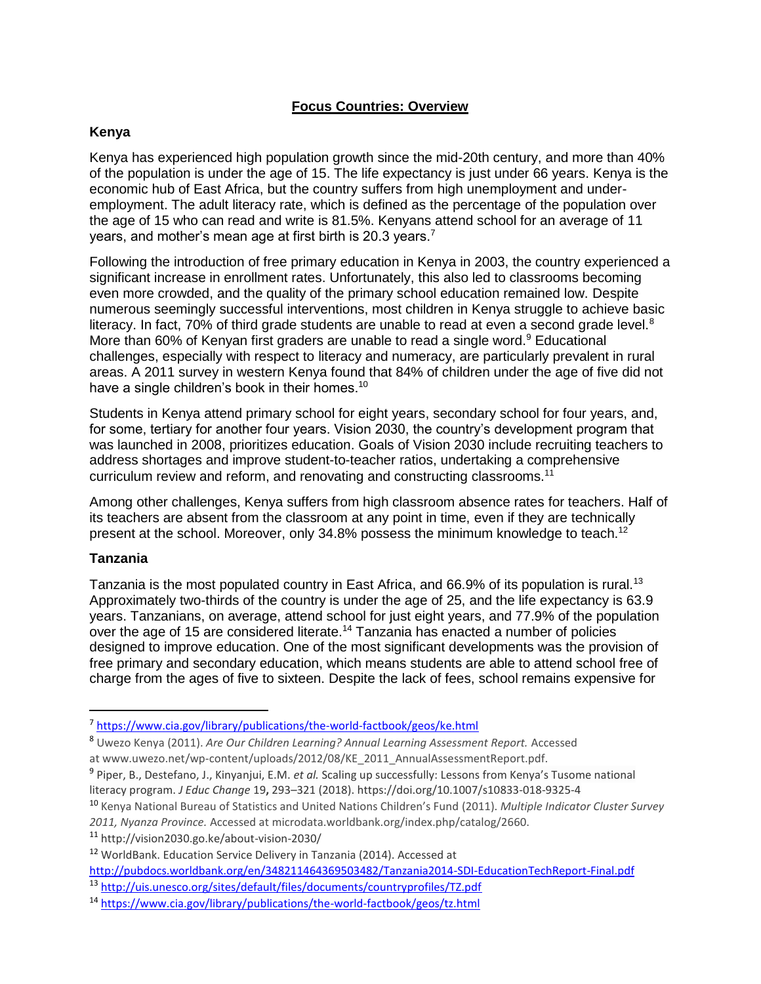## **Focus Countries: Overview**

#### **Kenya**

Kenya has experienced high population growth since the mid-20th century, and more than 40% of the population is under the age of 15. The life expectancy is just under 66 years. Kenya is the economic hub of East Africa, but the country suffers from high unemployment and underemployment. The adult literacy rate, which is defined as the percentage of the population over the age of 15 who can read and write is 81.5%. Kenyans attend school for an average of 11 years, and mother's mean age at first birth is 20.3 years.<sup>7</sup>

Following the introduction of free primary education in Kenya in 2003, the country experienced a significant increase in enrollment rates. Unfortunately, this also led to classrooms becoming even more crowded, and the quality of the primary school education remained low. Despite numerous seemingly successful interventions, most children in Kenya struggle to achieve basic literacy. In fact,  $70\%$  of third grade students are unable to read at even a second grade level. $8$ More than 60% of Kenyan first graders are unable to read a single word.<sup>9</sup> Educational challenges, especially with respect to literacy and numeracy, are particularly prevalent in rural areas. A 2011 survey in western Kenya found that 84% of children under the age of five did not have a single children's book in their homes.<sup>10</sup>

Students in Kenya attend primary school for eight years, secondary school for four years, and, for some, tertiary for another four years. Vision 2030, the country's development program that was launched in 2008, prioritizes education. Goals of Vision 2030 include recruiting teachers to address shortages and improve student-to-teacher ratios, undertaking a comprehensive curriculum review and reform, and renovating and constructing classrooms.<sup>11</sup>

Among other challenges, Kenya suffers from high classroom absence rates for teachers. Half of its teachers are absent from the classroom at any point in time, even if they are technically present at the school. Moreover, only 34.8% possess the minimum knowledge to teach.<sup>12</sup>

#### **Tanzania**

 $\overline{\phantom{a}}$ 

Tanzania is the most populated country in East Africa, and 66.9% of its population is rural.<sup>13</sup> Approximately two-thirds of the country is under the age of 25, and the life expectancy is 63.9 years. Tanzanians, on average, attend school for just eight years, and 77.9% of the population over the age of 15 are considered literate.<sup>14</sup> Tanzania has enacted a number of policies designed to improve education. One of the most significant developments was the provision of free primary and secondary education, which means students are able to attend school free of charge from the ages of five to sixteen. Despite the lack of fees, school remains expensive for

- 9 Piper, B., Destefano, J., Kinyanjui, E.M. *et al.* Scaling up successfully: Lessons from Kenya's Tusome national literacy program. *J Educ Change* 19**,** 293–321 (2018). https://doi.org/10.1007/s10833-018-9325-4
- <sup>10</sup> Kenya National Bureau of Statistics and United Nations Children's Fund (2011). *Multiple Indicator Cluster Survey 2011, Nyanza Province.* Accessed at microdata.worldbank.org/index.php/catalog/2660.

<sup>11</sup> http://vision2030.go.ke/about-vision-2030/

<http://pubdocs.worldbank.org/en/348211464369503482/Tanzania2014-SDI-EducationTechReport-Final.pdf>

<sup>&</sup>lt;sup>7</sup> <https://www.cia.gov/library/publications/the-world-factbook/geos/ke.html>

<sup>8</sup> Uwezo Kenya (2011). *Are Our Children Learning? Annual Learning Assessment Report.* Accessed at www.uwezo.net/wp-content/uploads/2012/08/KE\_2011\_AnnualAssessmentReport.pdf.

<sup>12</sup> WorldBank. Education Service Delivery in Tanzania (2014). Accessed at

<sup>13</sup> <http://uis.unesco.org/sites/default/files/documents/countryprofiles/TZ.pdf>

<sup>14</sup> <https://www.cia.gov/library/publications/the-world-factbook/geos/tz.html>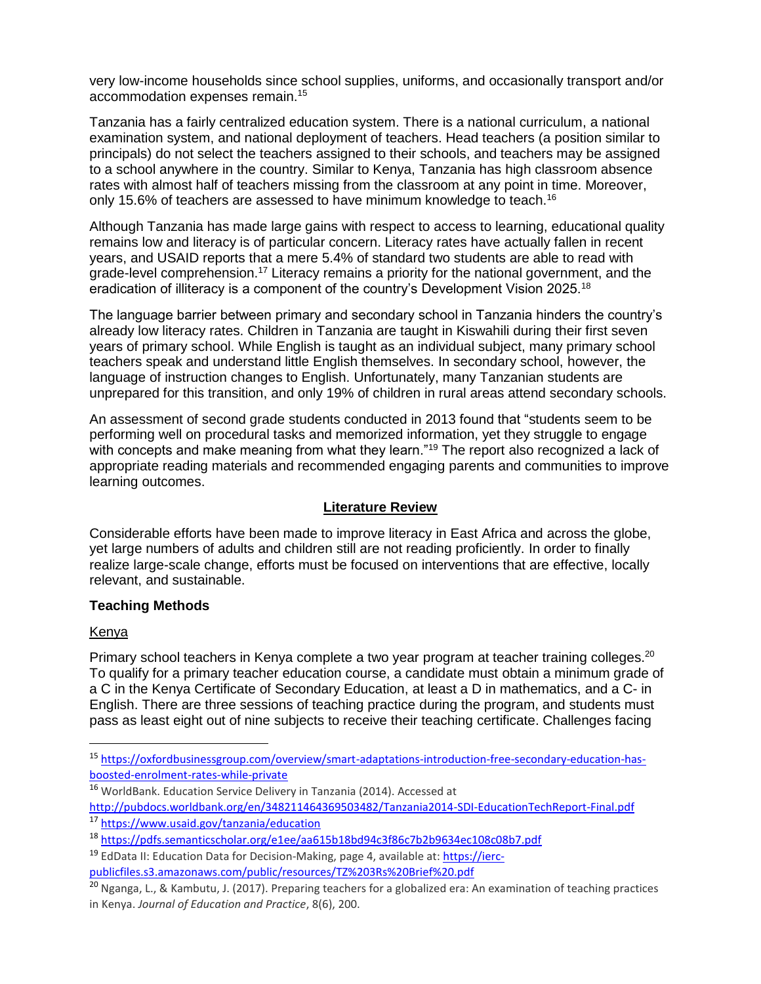very low-income households since school supplies, uniforms, and occasionally transport and/or accommodation expenses remain.<sup>15</sup>

Tanzania has a fairly centralized education system. There is a national curriculum, a national examination system, and national deployment of teachers. Head teachers (a position similar to principals) do not select the teachers assigned to their schools, and teachers may be assigned to a school anywhere in the country. Similar to Kenya, Tanzania has high classroom absence rates with almost half of teachers missing from the classroom at any point in time. Moreover, only 15.6% of teachers are assessed to have minimum knowledge to teach.<sup>16</sup>

Although Tanzania has made large gains with respect to access to learning, educational quality remains low and literacy is of particular concern. Literacy rates have actually fallen in recent years, and USAID reports that a mere 5.4% of standard two students are able to read with grade-level comprehension.<sup>17</sup> Literacy remains a priority for the national government, and the eradication of illiteracy is a component of the country's Development Vision 2025.<sup>18</sup>

The language barrier between primary and secondary school in Tanzania hinders the country's already low literacy rates. Children in Tanzania are taught in Kiswahili during their first seven years of primary school. While English is taught as an individual subject, many primary school teachers speak and understand little English themselves. In secondary school, however, the language of instruction changes to English. Unfortunately, many Tanzanian students are unprepared for this transition, and only 19% of children in rural areas attend secondary schools.

An assessment of second grade students conducted in 2013 found that "students seem to be performing well on procedural tasks and memorized information, yet they struggle to engage with concepts and make meaning from what they learn."<sup>19</sup> The report also recognized a lack of appropriate reading materials and recommended engaging parents and communities to improve learning outcomes.

#### **Literature Review**

Considerable efforts have been made to improve literacy in East Africa and across the globe, yet large numbers of adults and children still are not reading proficiently. In order to finally realize large-scale change, efforts must be focused on interventions that are effective, locally relevant, and sustainable.

#### **Teaching Methods**

#### Kenya

 $\overline{a}$ 

Primary school teachers in Kenya complete a two year program at teacher training colleges.<sup>20</sup> To qualify for a primary teacher education course, a candidate must obtain a minimum grade of a C in the Kenya Certificate of Secondary Education, at least a D in mathematics, and a C- in English. There are three sessions of teaching practice during the program, and students must pass as least eight out of nine subjects to receive their teaching certificate. Challenges facing

<sup>16</sup> WorldBank. Education Service Delivery in Tanzania (2014). Accessed at <http://pubdocs.worldbank.org/en/348211464369503482/Tanzania2014-SDI-EducationTechReport-Final.pdf>

<sup>15</sup> [https://oxfordbusinessgroup.com/overview/smart-adaptations-introduction-free-secondary-education-has](https://oxfordbusinessgroup.com/overview/smart-adaptations-introduction-free-secondary-education-has-boosted-enrolment-rates-while-private)[boosted-enrolment-rates-while-private](https://oxfordbusinessgroup.com/overview/smart-adaptations-introduction-free-secondary-education-has-boosted-enrolment-rates-while-private)

<sup>17</sup> <https://www.usaid.gov/tanzania/education>

<sup>18</sup> <https://pdfs.semanticscholar.org/e1ee/aa615b18bd94c3f86c7b2b9634ec108c08b7.pdf>

<sup>19</sup> EdData II: Education Data for Decision-Making, page 4, available at[: https://ierc](https://ierc-publicfiles.s3.amazonaws.com/public/resources/TZ%203Rs%20Brief%20.pdf)[publicfiles.s3.amazonaws.com/public/resources/TZ%203Rs%20Brief%20.pdf](https://ierc-publicfiles.s3.amazonaws.com/public/resources/TZ%203Rs%20Brief%20.pdf)

<sup>20</sup> Nganga, L., & Kambutu, J. (2017). Preparing teachers for a globalized era: An examination of teaching practices in Kenya. *Journal of Education and Practice*, 8(6), 200.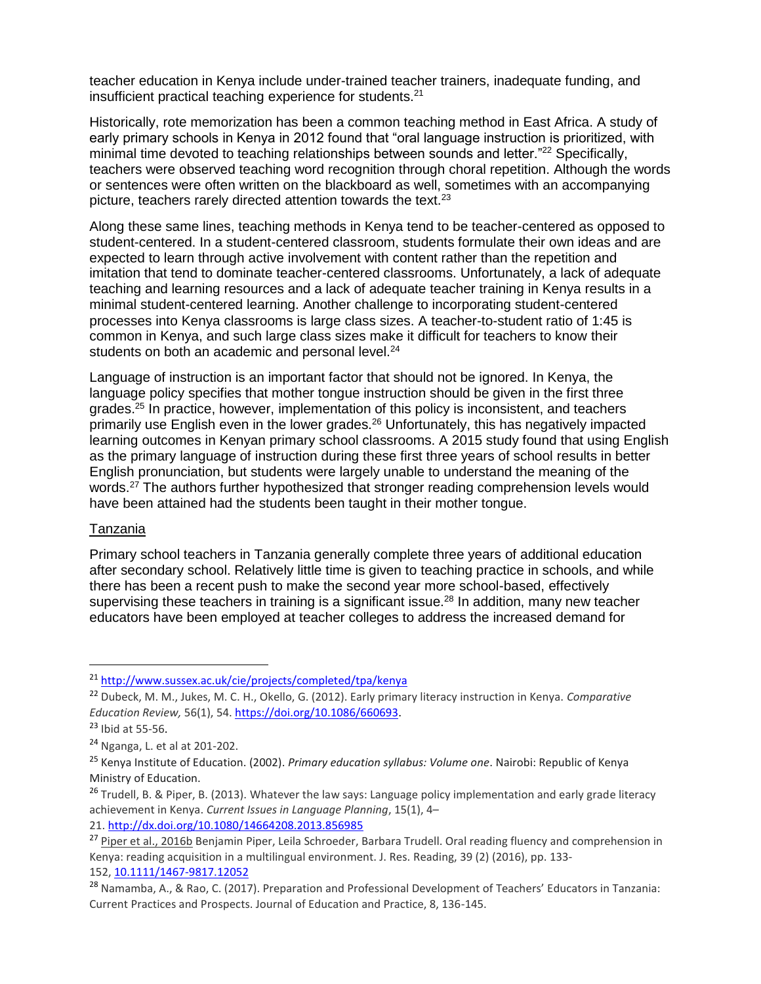teacher education in Kenya include under-trained teacher trainers, inadequate funding, and insufficient practical teaching experience for students.<sup>21</sup>

Historically, rote memorization has been a common teaching method in East Africa. A study of early primary schools in Kenya in 2012 found that "oral language instruction is prioritized, with minimal time devoted to teaching relationships between sounds and letter."<sup>22</sup> Specifically, teachers were observed teaching word recognition through choral repetition. Although the words or sentences were often written on the blackboard as well, sometimes with an accompanying picture, teachers rarely directed attention towards the text.<sup>23</sup>

Along these same lines, teaching methods in Kenya tend to be teacher-centered as opposed to student-centered. In a student-centered classroom, students formulate their own ideas and are expected to learn through active involvement with content rather than the repetition and imitation that tend to dominate teacher-centered classrooms. Unfortunately, a lack of adequate teaching and learning resources and a lack of adequate teacher training in Kenya results in a minimal student-centered learning. Another challenge to incorporating student-centered processes into Kenya classrooms is large class sizes. A teacher-to-student ratio of 1:45 is common in Kenya, and such large class sizes make it difficult for teachers to know their students on both an academic and personal level.<sup>24</sup>

Language of instruction is an important factor that should not be ignored. In Kenya, the language policy specifies that mother tongue instruction should be given in the first three grades.<sup>25</sup> In practice, however, implementation of this policy is inconsistent, and teachers primarily use English even in the lower grades.<sup>26</sup> Unfortunately, this has negatively impacted learning outcomes in Kenyan primary school classrooms. A 2015 study found that using English as the primary language of instruction during these first three years of school results in better English pronunciation, but students were largely unable to understand the meaning of the words.<sup>27</sup> The authors further hypothesized that stronger reading comprehension levels would have been attained had the students been taught in their mother tongue.

#### Tanzania

Primary school teachers in Tanzania generally complete three years of additional education after secondary school. Relatively little time is given to teaching practice in schools, and while there has been a recent push to make the second year more school-based, effectively supervising these teachers in training is a significant issue.<sup>28</sup> In addition, many new teacher educators have been employed at teacher colleges to address the increased demand for

 $\overline{\phantom{a}}$ 

21. <http://dx.doi.org/>[10.1080/14664208.2013.856985](https://doi.org/10.1080/14664208.2013.856985)

<sup>21</sup> <http://www.sussex.ac.uk/cie/projects/completed/tpa/kenya>

<sup>22</sup> Dubeck, M. M., Jukes, M. C. H., Okello, G. (2012). Early primary literacy instruction in Kenya. *Comparative Education Review,* 56(1), 54. [https://doi.org/10.1086/660693.](https://doi.org/10.1086/660693)

 $23$  Ibid at 55-56.

<sup>24</sup> Nganga, L. et al at 201-202.

<sup>25</sup> Kenya Institute of Education. (2002). *Primary education syllabus: Volume one*. Nairobi: Republic of Kenya Ministry of Education.

<sup>&</sup>lt;sup>26</sup> Trudell, B. & Piper, B. (2013). Whatever the law says: Language policy implementation and early grade literacy achievement in Kenya. *Current Issues in Language Planning*, 15(1), 4–

<sup>&</sup>lt;sup>27</sup> [Piper et al., 2016b](https://www.sciencedirect.com/science/article/pii/S0738059317302225#bbib0240) Benjamin Piper, Leila Schroeder, Barbara Trudell. Oral reading fluency and comprehension in Kenya: reading acquisition in a multilingual environment. J. Res. Reading, 39 (2) (2016), pp. 133- 152, [10.1111/1467-9817.12052](https://doi.org/10.1111/1467-9817.12052)

<sup>28</sup> Namamba, A., & Rao, C. (2017). Preparation and Professional Development of Teachers' Educators in Tanzania: Current Practices and Prospects. Journal of Education and Practice, 8, 136-145.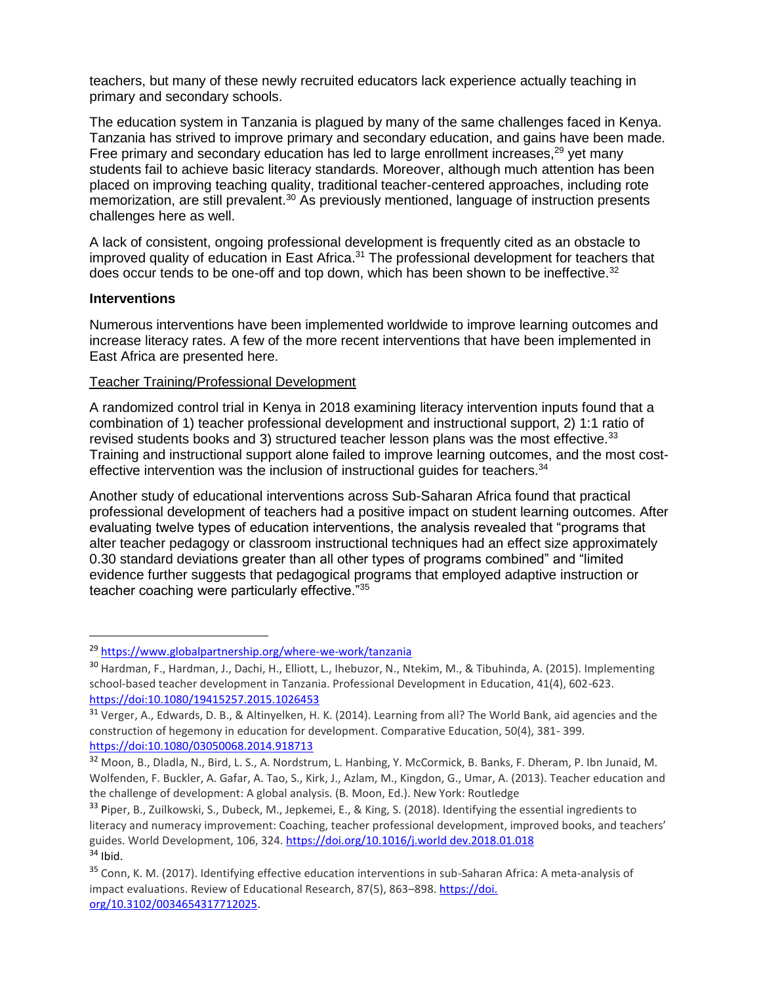teachers, but many of these newly recruited educators lack experience actually teaching in primary and secondary schools.

The education system in Tanzania is plagued by many of the same challenges faced in Kenya. Tanzania has strived to improve primary and secondary education, and gains have been made. Free primary and secondary education has led to large enrollment increases.<sup>29</sup> yet many students fail to achieve basic literacy standards. Moreover, although much attention has been placed on improving teaching quality, traditional teacher-centered approaches, including rote memorization, are still prevalent.<sup>30</sup> As previously mentioned, language of instruction presents challenges here as well.

A lack of consistent, ongoing professional development is frequently cited as an obstacle to improved quality of education in East Africa.<sup>31</sup> The professional development for teachers that does occur tends to be one-off and top down, which has been shown to be ineffective.<sup>32</sup>

#### **Interventions**

 $\overline{a}$ 

Numerous interventions have been implemented worldwide to improve learning outcomes and increase literacy rates. A few of the more recent interventions that have been implemented in East Africa are presented here.

#### Teacher Training/Professional Development

A randomized control trial in Kenya in 2018 examining literacy intervention inputs found that a combination of 1) teacher professional development and instructional support, 2) 1:1 ratio of revised students books and 3) structured teacher lesson plans was the most effective.<sup>33</sup> Training and instructional support alone failed to improve learning outcomes, and the most costeffective intervention was the inclusion of instructional guides for teachers.<sup>34</sup>

Another study of educational interventions across Sub-Saharan Africa found that practical professional development of teachers had a positive impact on student learning outcomes. After evaluating twelve types of education interventions, the analysis revealed that "programs that alter teacher pedagogy or classroom instructional techniques had an effect size approximately 0.30 standard deviations greater than all other types of programs combined" and "limited evidence further suggests that pedagogical programs that employed adaptive instruction or teacher coaching were particularly effective."<sup>35</sup>

<sup>29</sup> <https://www.globalpartnership.org/where-we-work/tanzania>

<sup>30</sup> Hardman, F., Hardman, J., Dachi, H., Elliott, L., Ihebuzor, N., Ntekim, M., & Tibuhinda, A. (2015). Implementing school-based teacher development in Tanzania. Professional Development in Education, 41(4), 602-623. [https://doi:10.1080/19415257.2015.1026453](about:blank)

<sup>31</sup> Verger, A., Edwards, D. B., & Altinyelken, H. K. (2014). Learning from all? The World Bank, aid agencies and the construction of hegemony in education for development. Comparative Education, 50(4), 381- 399. [https://doi:10.1080/03050068.2014.918713](about:blank)

<sup>32</sup> Moon, B., Dladla, N., Bird, L. S., A. Nordstrum, L. Hanbing, Y. McCormick, B. Banks, F. Dheram, P. Ibn Junaid, M. Wolfenden, F. Buckler, A. Gafar, A. Tao, S., Kirk, J., Azlam, M., Kingdon, G., Umar, A. (2013). Teacher education and the challenge of development: A global analysis. (B. Moon, Ed.). New York: Routledge

<sup>&</sup>lt;sup>33</sup> Piper, B., Zuilkowski, S., Dubeck, M., Jepkemei, E., & King, S. (2018). Identifying the essential ingredients to literacy and numeracy improvement: Coaching, teacher professional development, improved books, and teachers' guides. World Development, 106, 324. [https://doi.org/10.1016/j.world dev.2018.01.018](https://doi.org/10.1016/j.world)  $34$  Ibid.

<sup>&</sup>lt;sup>35</sup> Conn, K. M. (2017). Identifying effective education interventions in sub-Saharan Africa: A meta-analysis of impact evaluations. Review of Educational Research, 87(5), 863–898. https://doi. org/10.3102/0034654317712025.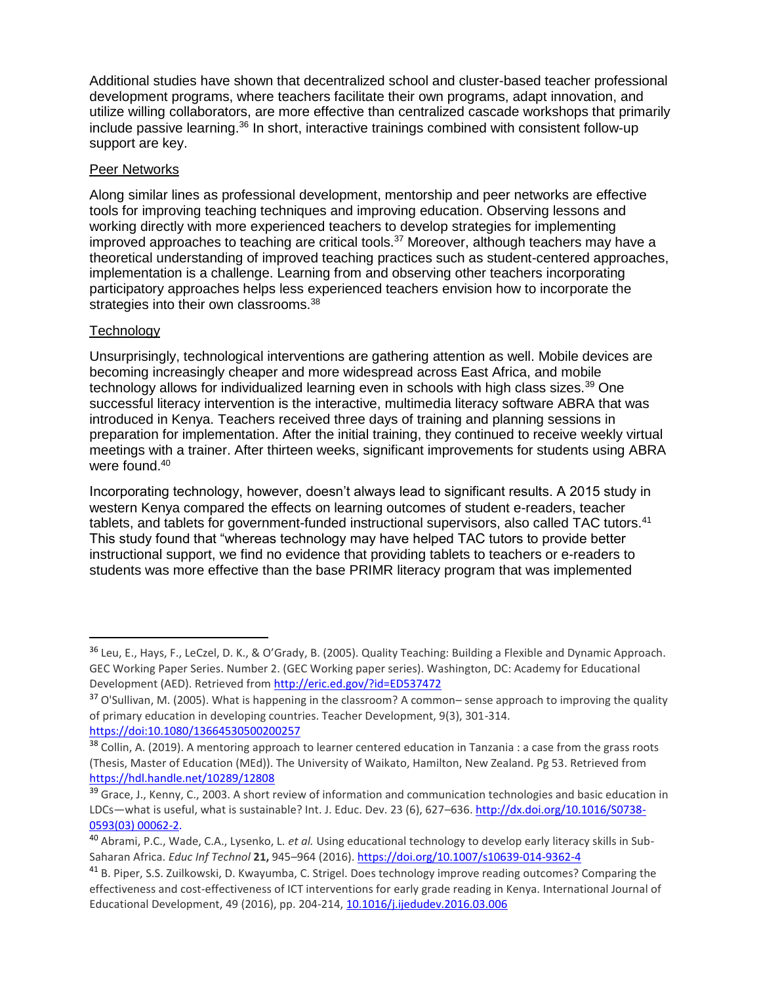Additional studies have shown that decentralized school and cluster-based teacher professional development programs, where teachers facilitate their own programs, adapt innovation, and utilize willing collaborators, are more effective than centralized cascade workshops that primarily include passive learning.<sup>36</sup> In short, interactive trainings combined with consistent follow-up support are key.

## Peer Networks

Along similar lines as professional development, mentorship and peer networks are effective tools for improving teaching techniques and improving education. Observing lessons and working directly with more experienced teachers to develop strategies for implementing improved approaches to teaching are critical tools.<sup>37</sup> Moreover, although teachers may have a theoretical understanding of improved teaching practices such as student-centered approaches, implementation is a challenge. Learning from and observing other teachers incorporating participatory approaches helps less experienced teachers envision how to incorporate the strategies into their own classrooms.<sup>38</sup>

## **Technology**

l

Unsurprisingly, technological interventions are gathering attention as well. Mobile devices are becoming increasingly cheaper and more widespread across East Africa, and mobile technology allows for individualized learning even in schools with high class sizes.<sup>39</sup> One successful literacy intervention is the interactive, multimedia literacy software ABRA that was introduced in Kenya. Teachers received three days of training and planning sessions in preparation for implementation. After the initial training, they continued to receive weekly virtual meetings with a trainer. After thirteen weeks, significant improvements for students using ABRA were found.<sup>40</sup>

Incorporating technology, however, doesn't always lead to significant results. A 2015 study in western Kenya compared the effects on learning outcomes of student e-readers, teacher tablets, and tablets for government-funded instructional supervisors, also called TAC tutors.<sup>41</sup> This study found that "whereas technology may have helped TAC tutors to provide better instructional support, we find no evidence that providing tablets to teachers or e-readers to students was more effective than the base PRIMR literacy program that was implemented

<sup>36</sup> Leu, E., Hays, F., LeCzel, D. K., & O'Grady, B. (2005). Quality Teaching: Building a Flexible and Dynamic Approach. GEC Working Paper Series. Number 2. (GEC Working paper series). Washington, DC: Academy for Educational Development (AED). Retrieved from <http://eric.ed.gov/?id=ED537472>

<sup>&</sup>lt;sup>37</sup> O'Sullivan, M. (2005). What is happening in the classroom? A common– sense approach to improving the quality of primary education in developing countries. Teacher Development, 9(3), 301-314. [https://doi:10.1080/13664530500200257](about:blank)

<sup>&</sup>lt;sup>38</sup> Collin, A. (2019). A mentoring approach to learner centered education in Tanzania : a case from the grass roots (Thesis, Master of Education (MEd)). The University of Waikato, Hamilton, New Zealand. Pg 53. Retrieved from <https://hdl.handle.net/10289/12808>

<sup>&</sup>lt;sup>39</sup> Grace, J., Kenny, C., 2003. A short review of information and communication technologies and basic education in LDCs-what is useful, what is sustainable? Int. J. Educ. Dev. 23 (6), 627-636. [http://dx.doi.org/10.1016/S0738-](http://dx.doi.org/10.1016/S0738-0593(03)) [0593\(03\) 00062-2.](http://dx.doi.org/10.1016/S0738-0593(03))

<sup>40</sup> Abrami, P.C., Wade, C.A., Lysenko, L. *et al.* Using educational technology to develop early literacy skills in Sub-Saharan Africa. *Educ Inf Technol* **21,** 945–964 (2016). <https://doi.org/10.1007/s10639-014-9362-4>

<sup>41</sup> B. Piper, S.S. Zuilkowski, D. Kwayumba, C. Strigel. Does technology improve reading outcomes? Comparing the effectiveness and cost-effectiveness of ICT interventions for early grade reading in Kenya. International Journal of Educational Development, 49 (2016), pp. 204-214, [10.1016/j.ijedudev.2016.03.006](https://doi.org/10.1016/j.ijedudev.2016.03.006)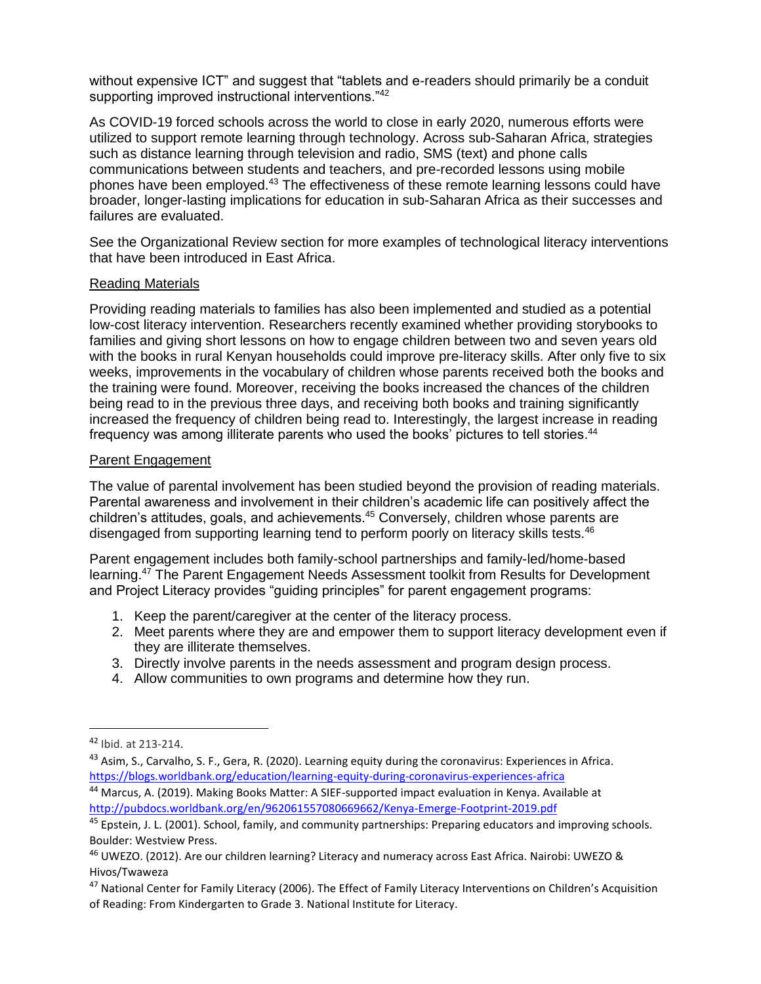without expensive ICT" and suggest that "tablets and e-readers should primarily be a conduit supporting improved instructional interventions."<sup>42</sup>

As COVID-19 forced schools across the world to close in early 2020, numerous efforts were utilized to support remote learning through technology. Across sub-Saharan Africa, strategies such as distance learning through television and radio, SMS (text) and phone calls communications between students and teachers, and pre-recorded lessons using mobile phones have been employed.<sup>43</sup> The effectiveness of these remote learning lessons could have broader, longer-lasting implications for education in sub-Saharan Africa as their successes and failures are evaluated.

See the Organizational Review section for more examples of technological literacy interventions that have been introduced in East Africa.

#### Reading Materials

Providing reading materials to families has also been implemented and studied as a potential low-cost literacy intervention. Researchers recently examined whether providing storybooks to families and giving short lessons on how to engage children between two and seven years old with the books in rural Kenyan households could improve pre-literacy skills. After only five to six weeks, improvements in the vocabulary of children whose parents received both the books and the training were found. Moreover, receiving the books increased the chances of the children being read to in the previous three days, and receiving both books and training significantly increased the frequency of children being read to. Interestingly, the largest increase in reading frequency was among illiterate parents who used the books' pictures to tell stories.<sup>44</sup>

#### Parent Engagement

The value of parental involvement has been studied beyond the provision of reading materials. Parental awareness and involvement in their children's academic life can positively affect the children's attitudes, goals, and achievements.<sup>45</sup> Conversely, children whose parents are disengaged from supporting learning tend to perform poorly on literacy skills tests.<sup>46</sup>

Parent engagement includes both family-school partnerships and family-led/home-based learning.<sup>47</sup> The Parent Engagement Needs Assessment toolkit from Results for Development and Project Literacy provides "guiding principles" for parent engagement programs:

- 1. Keep the parent/caregiver at the center of the literacy process.
- 2. Meet parents where they are and empower them to support literacy development even if they are illiterate themselves.
- 3. Directly involve parents in the needs assessment and program design process.
- 4. Allow communities to own programs and determine how they run.

 $\overline{\phantom{a}}$ 

<sup>44</sup> Marcus, A. (2019). Making Books Matter: A SIEF-supported impact evaluation in Kenya. Available at <http://pubdocs.worldbank.org/en/962061557080669662/Kenya-Emerge-Footprint-2019.pdf>

<sup>42</sup> Ibid. at 213-214.

 $^{43}$  Asim, S., Carvalho, S. F., Gera, R. (2020). Learning equity during the coronavirus: Experiences in Africa. <https://blogs.worldbank.org/education/learning-equity-during-coronavirus-experiences-africa>

<sup>45</sup> Epstein, J. L. (2001). School, family, and community partnerships: Preparing educators and improving schools. Boulder: Westview Press.

<sup>46</sup> UWEZO. (2012). Are our children learning? Literacy and numeracy across East Africa. Nairobi: UWEZO & Hivos/Twaweza

<sup>47</sup> National Center for Family Literacy (2006). The Effect of Family Literacy Interventions on Children's Acquisition of Reading: From Kindergarten to Grade 3. National Institute for Literacy.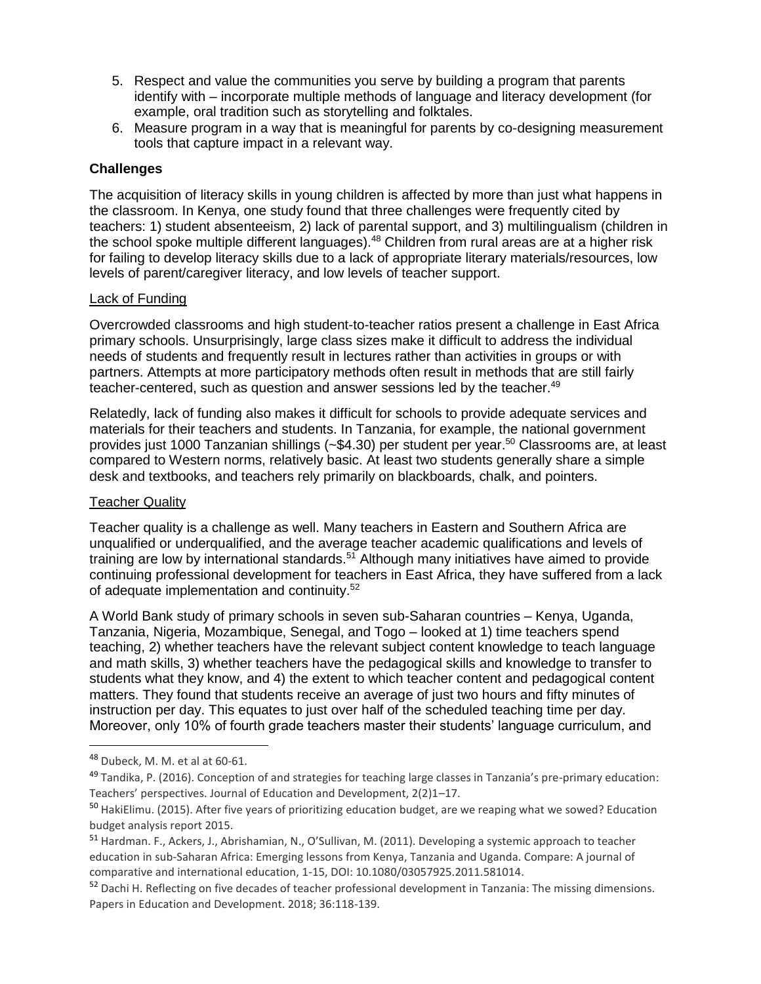- 5. Respect and value the communities you serve by building a program that parents identify with – incorporate multiple methods of language and literacy development (for example, oral tradition such as storytelling and folktales.
- 6. Measure program in a way that is meaningful for parents by co-designing measurement tools that capture impact in a relevant way.

#### **Challenges**

The acquisition of literacy skills in young children is affected by more than just what happens in the classroom. In Kenya, one study found that three challenges were frequently cited by teachers: 1) student absenteeism, 2) lack of parental support, and 3) multilingualism (children in the school spoke multiple different languages).<sup>48</sup> Children from rural areas are at a higher risk for failing to develop literacy skills due to a lack of appropriate literary materials/resources, low levels of parent/caregiver literacy, and low levels of teacher support.

#### Lack of Funding

Overcrowded classrooms and high student-to-teacher ratios present a challenge in East Africa primary schools. Unsurprisingly, large class sizes make it difficult to address the individual needs of students and frequently result in lectures rather than activities in groups or with partners. Attempts at more participatory methods often result in methods that are still fairly teacher-centered, such as question and answer sessions led by the teacher.<sup>49</sup>

Relatedly, lack of funding also makes it difficult for schools to provide adequate services and materials for their teachers and students. In Tanzania, for example, the national government provides just 1000 Tanzanian shillings (~\$4.30) per student per year.<sup>50</sup> Classrooms are, at least compared to Western norms, relatively basic. At least two students generally share a simple desk and textbooks, and teachers rely primarily on blackboards, chalk, and pointers.

## Teacher Quality

Teacher quality is a challenge as well. Many teachers in Eastern and Southern Africa are unqualified or underqualified, and the average teacher academic qualifications and levels of training are low by international standards. $51$  Although many initiatives have aimed to provide continuing professional development for teachers in East Africa, they have suffered from a lack of adequate implementation and continuity.<sup>52</sup>

A World Bank study of primary schools in seven sub-Saharan countries – Kenya, Uganda, Tanzania, Nigeria, Mozambique, Senegal, and Togo – looked at 1) time teachers spend teaching, 2) whether teachers have the relevant subject content knowledge to teach language and math skills, 3) whether teachers have the pedagogical skills and knowledge to transfer to students what they know, and 4) the extent to which teacher content and pedagogical content matters. They found that students receive an average of just two hours and fifty minutes of instruction per day. This equates to just over half of the scheduled teaching time per day. Moreover, only 10% of fourth grade teachers master their students' language curriculum, and

<sup>48</sup> Dubeck, M. M. et al at 60-61.

 $49$  Tandika, P. (2016). Conception of and strategies for teaching large classes in Tanzania's pre-primary education: Teachers' perspectives. Journal of Education and Development, 2(2)1–17.

<sup>&</sup>lt;sup>50</sup> HakiElimu. (2015). After five years of prioritizing education budget, are we reaping what we sowed? Education budget analysis report 2015.

<sup>51</sup> Hardman. F., Ackers, J., Abrishamian, N., O'Sullivan, M. (2011). Developing a systemic approach to teacher education in sub-Saharan Africa: Emerging lessons from Kenya, Tanzania and Uganda. Compare: A journal of comparative and international education, 1-15, DOI: 10.1080/03057925.2011.581014.

<sup>52</sup> Dachi H. Reflecting on five decades of teacher professional development in Tanzania: The missing dimensions. Papers in Education and Development. 2018; 36:118-139.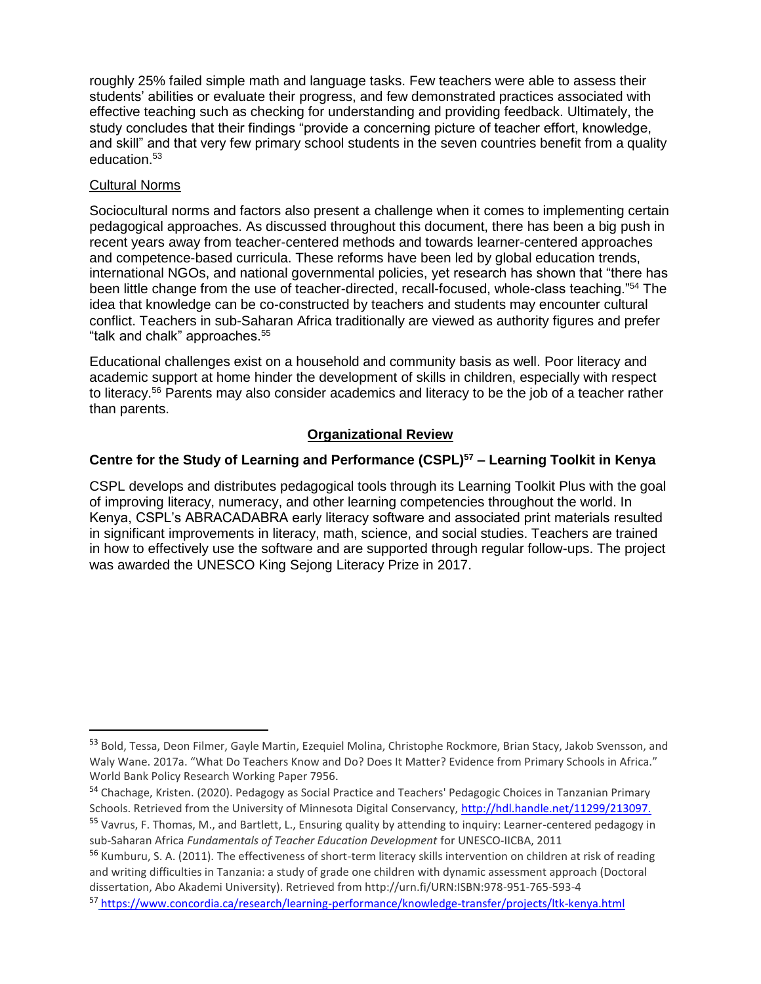roughly 25% failed simple math and language tasks. Few teachers were able to assess their students' abilities or evaluate their progress, and few demonstrated practices associated with effective teaching such as checking for understanding and providing feedback. Ultimately, the study concludes that their findings "provide a concerning picture of teacher effort, knowledge, and skill" and that very few primary school students in the seven countries benefit from a quality education.<sup>53</sup>

#### Cultural Norms

 $\overline{\phantom{a}}$ 

Sociocultural norms and factors also present a challenge when it comes to implementing certain pedagogical approaches. As discussed throughout this document, there has been a big push in recent years away from teacher-centered methods and towards learner-centered approaches and competence-based curricula. These reforms have been led by global education trends, international NGOs, and national governmental policies, yet research has shown that "there has been little change from the use of teacher-directed, recall-focused, whole-class teaching."<sup>54</sup> The idea that knowledge can be co-constructed by teachers and students may encounter cultural conflict. Teachers in sub-Saharan Africa traditionally are viewed as authority figures and prefer "talk and chalk" approaches.<sup>55</sup>

Educational challenges exist on a household and community basis as well. Poor literacy and academic support at home hinder the development of skills in children, especially with respect to literacy.<sup>56</sup> Parents may also consider academics and literacy to be the job of a teacher rather than parents.

## **Organizational Review**

## **Centre for the Study of Learning and Performance (CSPL)<sup>57</sup> – Learning Toolkit in Kenya**

CSPL develops and distributes pedagogical tools through its Learning Toolkit Plus with the goal of improving literacy, numeracy, and other learning competencies throughout the world. In Kenya, CSPL's ABRACADABRA early literacy software and associated print materials resulted in significant improvements in literacy, math, science, and social studies. Teachers are trained in how to effectively use the software and are supported through regular follow-ups. The project was awarded the UNESCO King Sejong Literacy Prize in 2017.

<sup>53</sup> Bold, Tessa, Deon Filmer, Gayle Martin, Ezequiel Molina, Christophe Rockmore, Brian Stacy, Jakob Svensson, and Waly Wane. 2017a. "What Do Teachers Know and Do? Does It Matter? Evidence from Primary Schools in Africa." World Bank Policy Research Working Paper 7956.

<sup>54</sup> Chachage, Kristen. (2020). Pedagogy as Social Practice and Teachers' Pedagogic Choices in Tanzanian Primary Schools. Retrieved from the University of Minnesota Digital Conservancy, <http://hdl.handle.net/11299/213097.> <sup>55</sup> Vavrus, F. Thomas, M., and Bartlett, L., Ensuring quality by attending to inquiry: Learner-centered pedagogy in

sub-Saharan Africa *Fundamentals of Teacher Education Development* for UNESCO-IICBA, 2011

<sup>&</sup>lt;sup>56</sup> Kumburu. S. A. (2011). The effectiveness of short-term literacy skills intervention on children at risk of reading and writing difficulties in Tanzania: a study of grade one children with dynamic assessment approach (Doctoral dissertation, Abo Akademi University). Retrieved from http://urn.fi/URN:ISBN:978-951-765-593-4

<sup>57</sup> <https://www.concordia.ca/research/learning-performance/knowledge-transfer/projects/ltk-kenya.html>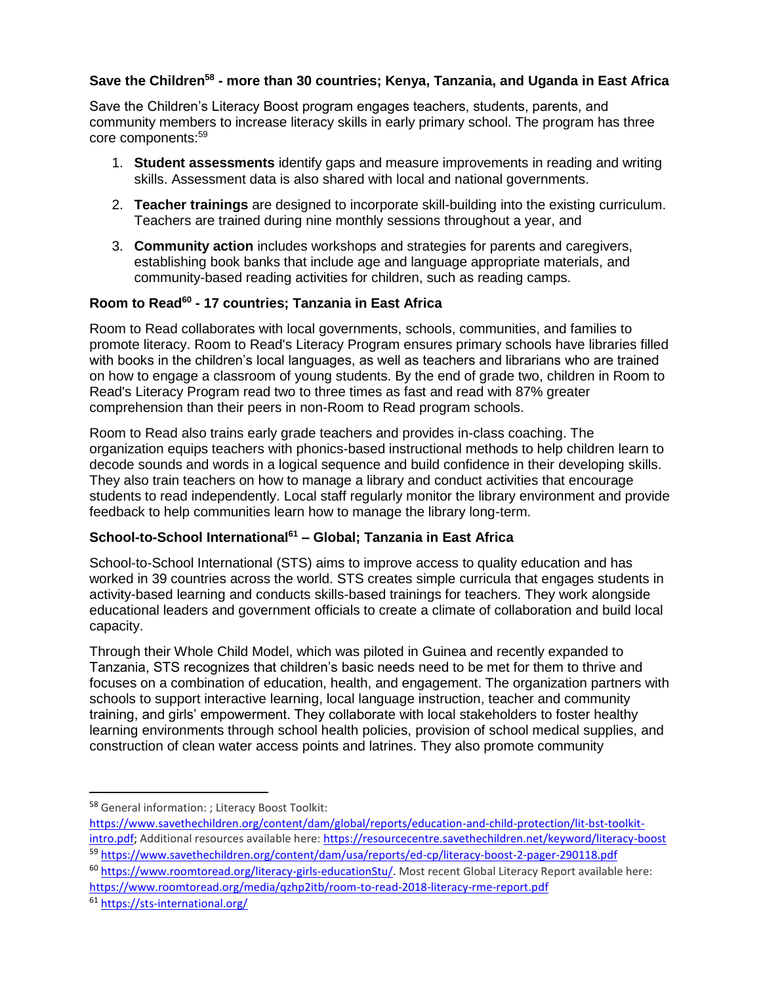## **Save the Children<sup>58</sup> - more than 30 countries; Kenya, Tanzania, and Uganda in East Africa**

Save the Children's Literacy Boost program engages teachers, students, parents, and community members to increase literacy skills in early primary school. The program has three core components:<sup>59</sup>

- 1. **Student assessments** identify gaps and measure improvements in reading and writing skills. Assessment data is also shared with local and national governments.
- 2. **Teacher trainings** are designed to incorporate skill-building into the existing curriculum. Teachers are trained during nine monthly sessions throughout a year, and
- 3. **Community action** includes workshops and strategies for parents and caregivers, establishing book banks that include age and language appropriate materials, and community-based reading activities for children, such as reading camps.

#### **Room to Read<sup>60</sup> - 17 countries; Tanzania in East Africa**

Room to Read collaborates with local governments, schools, communities, and families to promote literacy. Room to Read's Literacy Program ensures primary schools have libraries filled with books in the children's local languages, as well as teachers and librarians who are trained on how to engage a classroom of young students. By the end of grade two, children in Room to Read's Literacy Program read two to three times as fast and read with 87% greater comprehension than their peers in non-Room to Read program schools.

Room to Read also trains early grade teachers and provides in-class coaching. The organization equips teachers with phonics-based instructional methods to help children learn to decode sounds and words in a logical sequence and build confidence in their developing skills. They also train teachers on how to manage a library and conduct activities that encourage students to read independently. Local staff regularly monitor the library environment and provide feedback to help communities learn how to manage the library long-term.

## **School-to-School International<sup>61</sup> – Global; Tanzania in East Africa**

School-to-School International (STS) aims to improve access to quality education and has worked in 39 countries across the world. STS creates simple curricula that engages students in activity-based learning and conducts skills-based trainings for teachers. They work alongside educational leaders and government officials to create a climate of collaboration and build local capacity.

Through their Whole Child Model, which was piloted in Guinea and recently expanded to Tanzania, STS recognizes that children's basic needs need to be met for them to thrive and focuses on a combination of education, health, and engagement. The organization partners with schools to support interactive learning, local language instruction, teacher and community training, and girls' empowerment. They collaborate with local stakeholders to foster healthy learning environments through school health policies, provision of school medical supplies, and construction of clean water access points and latrines. They also promote community

<https://www.roomtoread.org/media/qzhp2itb/room-to-read-2018-literacy-rme-report.pdf>

<sup>61</sup> <https://sts-international.org/>

<sup>58</sup> General information: ; Literacy Boost Toolkit:

[https://www.savethechildren.org/content/dam/global/reports/education-and-child-protection/lit-bst-toolkit](https://www.savethechildren.org/content/dam/global/reports/education-and-child-protection/lit-bst-toolkit-intro.pdf)[intro.pdf;](https://www.savethechildren.org/content/dam/global/reports/education-and-child-protection/lit-bst-toolkit-intro.pdf) Additional resources available here: <https://resourcecentre.savethechildren.net/keyword/literacy-boost> <sup>59</sup> <https://www.savethechildren.org/content/dam/usa/reports/ed-cp/literacy-boost-2-pager-290118.pdf>

<sup>60</sup> [https://www.roomtoread.org/literacy-girls-educationStu/.](https://www.roomtoread.org/literacy-girls-educationStu/) Most recent Global Literacy Report available here: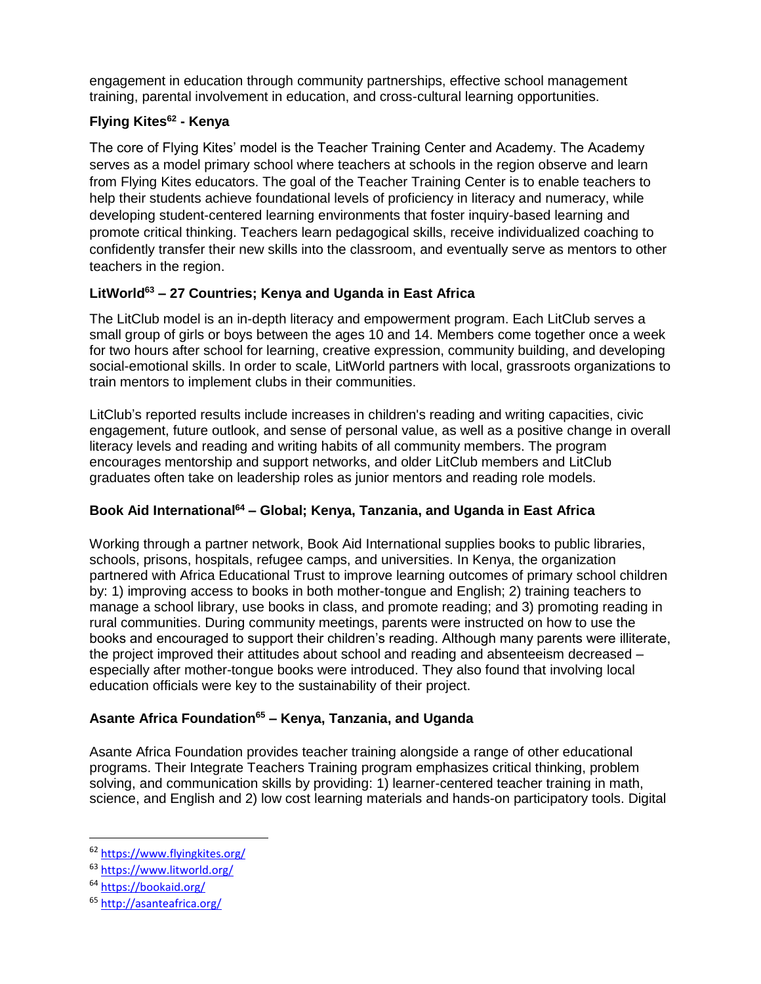engagement in education through community partnerships, effective school management training, parental involvement in education, and cross-cultural learning opportunities.

# **Flying Kites<sup>62</sup> - Kenya**

The core of Flying Kites' model is the Teacher Training Center and Academy. The Academy serves as a model primary school where teachers at schools in the region observe and learn from Flying Kites educators. The goal of the Teacher Training Center is to enable teachers to help their students achieve foundational levels of proficiency in literacy and numeracy, while developing student-centered learning environments that foster inquiry-based learning and promote critical thinking. Teachers learn pedagogical skills, receive individualized coaching to confidently transfer their new skills into the classroom, and eventually serve as mentors to other teachers in the region.

# **LitWorld<sup>63</sup> – 27 Countries; Kenya and Uganda in East Africa**

The LitClub model is an in-depth literacy and empowerment program. Each LitClub serves a small group of girls or boys between the ages 10 and 14. Members come together once a week for two hours after school for learning, creative expression, community building, and developing social-emotional skills. In order to scale, LitWorld partners with local, grassroots organizations to train mentors to implement clubs in their communities.

LitClub's reported results include increases in children's reading and writing capacities, civic engagement, future outlook, and sense of personal value, as well as a positive change in overall literacy levels and reading and writing habits of all community members. The program encourages mentorship and support networks, and older LitClub members and LitClub graduates often take on leadership roles as junior mentors and reading role models.

## **Book Aid International<sup>64</sup> – Global; Kenya, Tanzania, and Uganda in East Africa**

Working through a partner network, Book Aid International supplies books to public libraries, schools, prisons, hospitals, refugee camps, and universities. In Kenya, the organization partnered with Africa Educational Trust to improve learning outcomes of primary school children by: 1) improving access to books in both mother-tongue and English; 2) training teachers to manage a school library, use books in class, and promote reading; and 3) promoting reading in rural communities. During community meetings, parents were instructed on how to use the books and encouraged to support their children's reading. Although many parents were illiterate, the project improved their attitudes about school and reading and absenteeism decreased – especially after mother-tongue books were introduced. They also found that involving local education officials were key to the sustainability of their project.

## **Asante Africa Foundation<sup>65</sup> – Kenya, Tanzania, and Uganda**

Asante Africa Foundation provides teacher training alongside a range of other educational programs. Their Integrate Teachers Training program emphasizes critical thinking, problem solving, and communication skills by providing: 1) learner-centered teacher training in math, science, and English and 2) low cost learning materials and hands-on participatory tools. Digital

 $\overline{a}$ 

<sup>62</sup> <https://www.flyingkites.org/>

<sup>63</sup> <https://www.litworld.org/>

<sup>64</sup> <https://bookaid.org/>

<sup>65</sup> <http://asanteafrica.org/>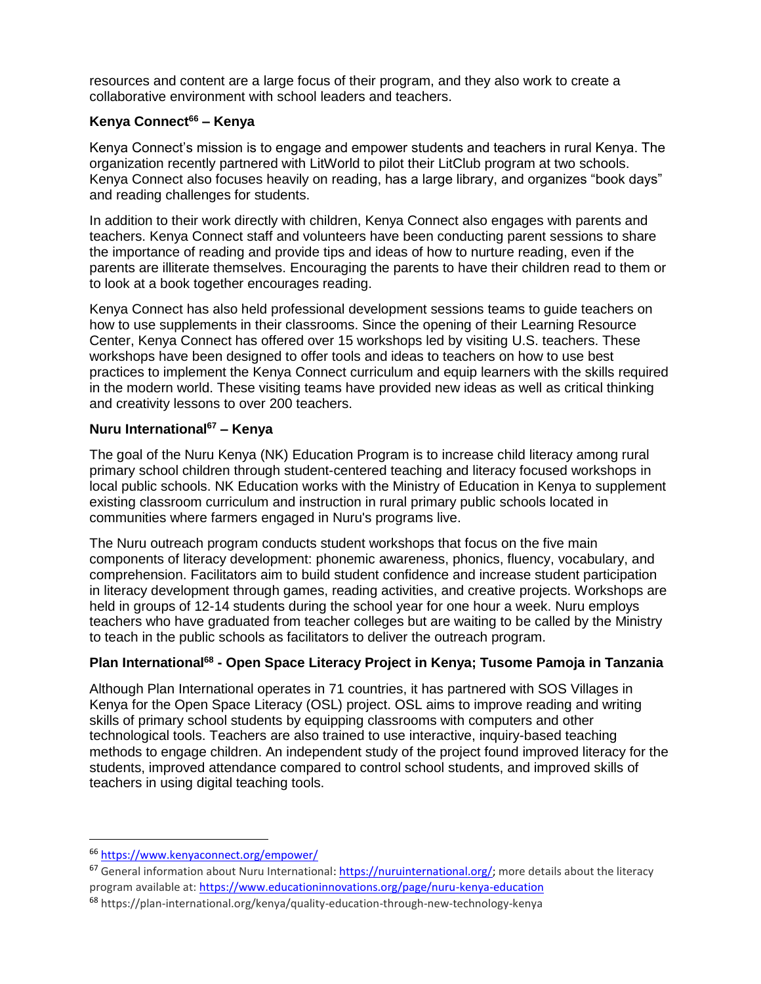resources and content are a large focus of their program, and they also work to create a collaborative environment with school leaders and teachers.

## **Kenya Connect<sup>66</sup> – Kenya**

Kenya Connect's mission is to engage and empower students and teachers in rural Kenya. The organization recently partnered with LitWorld to pilot their LitClub program at two schools. Kenya Connect also focuses heavily on reading, has a large library, and organizes "book days" and reading challenges for students.

In addition to their work directly with children, Kenya Connect also engages with parents and teachers. Kenya Connect staff and volunteers have been conducting parent sessions to share the importance of reading and provide tips and ideas of how to nurture reading, even if the parents are illiterate themselves. Encouraging the parents to have their children read to them or to look at a book together encourages reading.

Kenya Connect has also held professional development sessions teams to guide teachers on how to use supplements in their classrooms. Since the opening of their Learning Resource Center, Kenya Connect has offered over 15 workshops led by visiting U.S. teachers. These workshops have been designed to offer tools and ideas to teachers on how to use best practices to implement the Kenya Connect curriculum and equip learners with the skills required in the modern world. These visiting teams have provided new ideas as well as critical thinking and creativity lessons to over 200 teachers.

#### **Nuru International<sup>67</sup> – Kenya**

The goal of the Nuru Kenya (NK) Education Program is to increase child literacy among rural primary school children through student-centered teaching and literacy focused workshops in local public schools. NK Education works with the Ministry of Education in Kenya to supplement existing classroom curriculum and instruction in rural primary public schools located in communities where farmers engaged in Nuru's programs live.

The Nuru outreach program conducts student workshops that focus on the five main components of literacy development: phonemic awareness, phonics, fluency, vocabulary, and comprehension. Facilitators aim to build student confidence and increase student participation in literacy development through games, reading activities, and creative projects. Workshops are held in groups of 12-14 students during the school year for one hour a week. Nuru employs teachers who have graduated from teacher colleges but are waiting to be called by the Ministry to teach in the public schools as facilitators to deliver the outreach program.

#### **Plan International<sup>68</sup> - Open Space Literacy Project in Kenya; Tusome Pamoja in Tanzania**

Although Plan International operates in 71 countries, it has partnered with SOS Villages in Kenya for the Open Space Literacy (OSL) project. OSL aims to improve reading and writing skills of primary school students by equipping classrooms with computers and other technological tools. Teachers are also trained to use interactive, inquiry-based teaching methods to engage children. An independent study of the project found improved literacy for the students, improved attendance compared to control school students, and improved skills of teachers in using digital teaching tools.

l

<sup>66</sup> <https://www.kenyaconnect.org/empower/>

 $67$  General information about Nuru International: [https://nuruinternational.org/;](https://nuruinternational.org/) more details about the literacy program available at: <https://www.educationinnovations.org/page/nuru-kenya-education>

<sup>68</sup> https://plan-international.org/kenya/quality-education-through-new-technology-kenya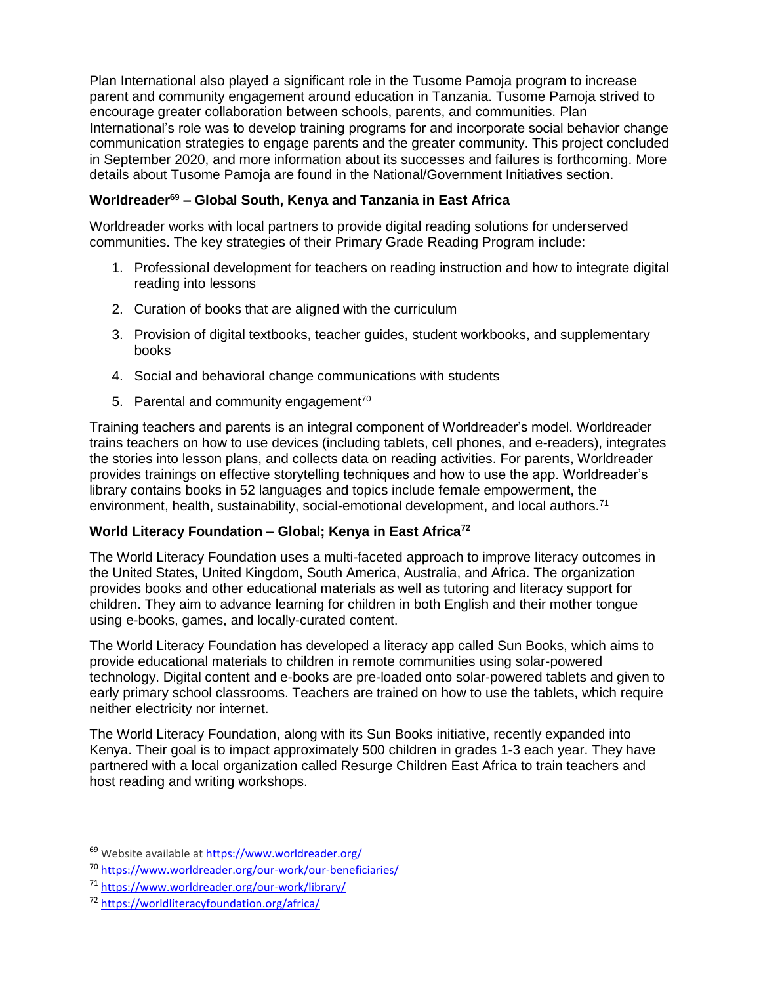Plan International also played a significant role in the Tusome Pamoja program to increase parent and community engagement around education in Tanzania. Tusome Pamoja strived to encourage greater collaboration between schools, parents, and communities. Plan International's role was to develop training programs for and incorporate social behavior change communication strategies to engage parents and the greater community. This project concluded in September 2020, and more information about its successes and failures is forthcoming. More details about Tusome Pamoja are found in the National/Government Initiatives section.

## **Worldreader<sup>69</sup> – Global South, Kenya and Tanzania in East Africa**

Worldreader works with local partners to provide digital reading solutions for underserved communities. The key strategies of their Primary Grade Reading Program include:

- 1. Professional development for teachers on reading instruction and how to integrate digital reading into lessons
- 2. Curation of books that are aligned with the curriculum
- 3. Provision of digital textbooks, teacher guides, student workbooks, and supplementary books
- 4. Social and behavioral change communications with students
- 5. Parental and community engagement<sup>70</sup>

Training teachers and parents is an integral component of Worldreader's model. Worldreader trains teachers on how to use devices (including tablets, cell phones, and e-readers), integrates the stories into lesson plans, and collects data on reading activities. For parents, Worldreader provides trainings on effective storytelling techniques and how to use the app. Worldreader's library contains books in 52 languages and topics include female empowerment, the environment, health, sustainability, social-emotional development, and local authors.<sup>71</sup>

#### **World Literacy Foundation – Global; Kenya in East Africa<sup>72</sup>**

The World Literacy Foundation uses a multi-faceted approach to improve literacy outcomes in the United States, United Kingdom, South America, Australia, and Africa. The organization provides books and other educational materials as well as tutoring and literacy support for children. They aim to advance learning for children in both English and their mother tongue using e-books, games, and locally-curated content.

The World Literacy Foundation has developed a literacy app called Sun Books, which aims to provide educational materials to children in remote communities using solar-powered technology. Digital content and e-books are pre-loaded onto solar-powered tablets and given to early primary school classrooms. Teachers are trained on how to use the tablets, which require neither electricity nor internet.

The World Literacy Foundation, along with its Sun Books initiative, recently expanded into Kenya. Their goal is to impact approximately 500 children in grades 1-3 each year. They have partnered with a local organization called Resurge Children East Africa to train teachers and host reading and writing workshops.

 $\overline{a}$ 

<sup>&</sup>lt;sup>69</sup> Website available at <https://www.worldreader.org/>

<sup>70</sup> <https://www.worldreader.org/our-work/our-beneficiaries/>

<sup>71</sup> <https://www.worldreader.org/our-work/library/>

<sup>72</sup> <https://worldliteracyfoundation.org/africa/>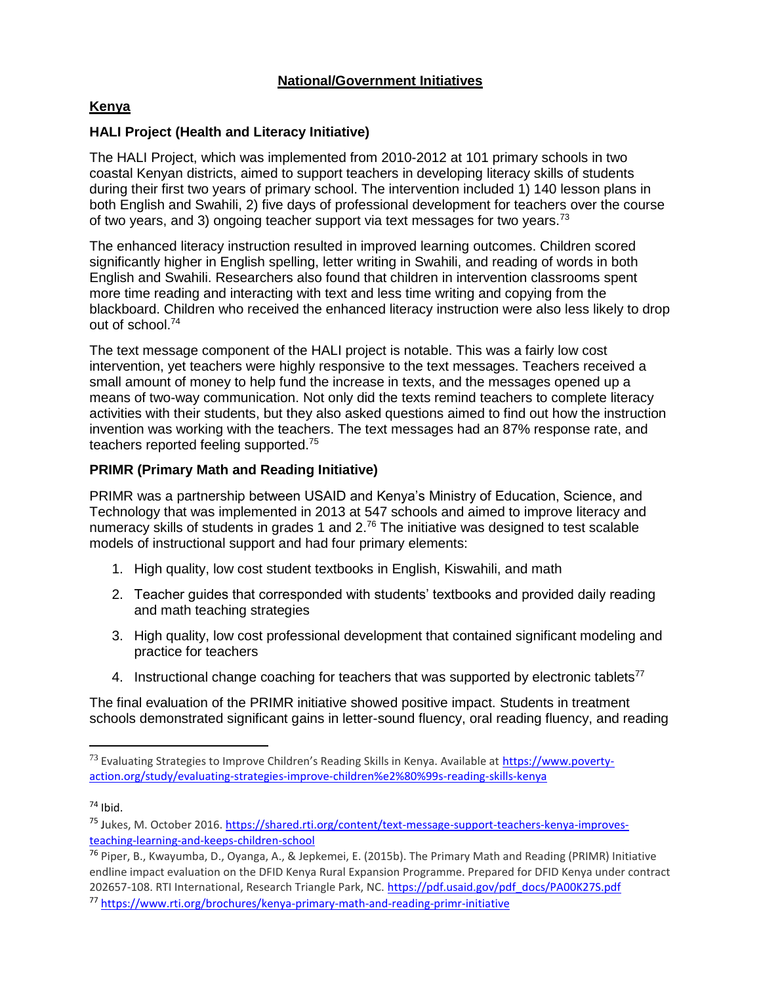## **National/Government Initiatives**

## **Kenya**

#### **HALI Project (Health and Literacy Initiative)**

The HALI Project, which was implemented from 2010-2012 at 101 primary schools in two coastal Kenyan districts, aimed to support teachers in developing literacy skills of students during their first two years of primary school. The intervention included 1) 140 lesson plans in both English and Swahili, 2) five days of professional development for teachers over the course of two years, and 3) ongoing teacher support via text messages for two years.<sup>73</sup>

The enhanced literacy instruction resulted in improved learning outcomes. Children scored significantly higher in English spelling, letter writing in Swahili, and reading of words in both English and Swahili. Researchers also found that children in intervention classrooms spent more time reading and interacting with text and less time writing and copying from the blackboard. Children who received the enhanced literacy instruction were also less likely to drop out of school.<sup>74</sup>

The text message component of the HALI project is notable. This was a fairly low cost intervention, yet teachers were highly responsive to the text messages. Teachers received a small amount of money to help fund the increase in texts, and the messages opened up a means of two-way communication. Not only did the texts remind teachers to complete literacy activities with their students, but they also asked questions aimed to find out how the instruction invention was working with the teachers. The text messages had an 87% response rate, and teachers reported feeling supported.<sup>75</sup>

## **PRIMR (Primary Math and Reading Initiative)**

PRIMR was a partnership between USAID and Kenya's Ministry of Education, Science, and Technology that was implemented in 2013 at 547 schools and aimed to improve literacy and numeracy skills of students in grades 1 and 2.<sup>76</sup> The initiative was designed to test scalable models of instructional support and had four primary elements:

- 1. High quality, low cost student textbooks in English, Kiswahili, and math
- 2. Teacher guides that corresponded with students' textbooks and provided daily reading and math teaching strategies
- 3. High quality, low cost professional development that contained significant modeling and practice for teachers
- 4. Instructional change coaching for teachers that was supported by electronic tablets<sup>77</sup>

The final evaluation of the PRIMR initiative showed positive impact. Students in treatment schools demonstrated significant gains in letter-sound fluency, oral reading fluency, and reading

<sup>73</sup> Evaluating Strategies to Improve Children's Reading Skills in Kenya. Available at [https://www.poverty](https://www.poverty-action.org/study/evaluating-strategies-improve-children%e2%80%99s-reading-skills-kenya)[action.org/study/evaluating-strategies-improve-children%e2%80%99s-reading-skills-kenya](https://www.poverty-action.org/study/evaluating-strategies-improve-children%e2%80%99s-reading-skills-kenya)

 $74$  Ibid.

<sup>75</sup> Jukes, M. October 2016. [https://shared.rti.org/content/text-message-support-teachers-kenya-improves](https://shared.rti.org/content/text-message-support-teachers-kenya-improves-teaching-learning-and-keeps-children-school)[teaching-learning-and-keeps-children-school](https://shared.rti.org/content/text-message-support-teachers-kenya-improves-teaching-learning-and-keeps-children-school)

<sup>76</sup> Piper, B., Kwayumba, D., Oyanga, A., & Jepkemei, E. (2015b). The Primary Math and Reading (PRIMR) Initiative endline impact evaluation on the DFID Kenya Rural Expansion Programme. Prepared for DFID Kenya under contract 202657-108. RTI International, Research Triangle Park, NC. [https://pdf.usaid.gov/pdf\\_docs/PA00K27S.pdf](https://pdf.usaid.gov/pdf_docs/PA00K27S.pdf) <sup>77</sup> <https://www.rti.org/brochures/kenya-primary-math-and-reading-primr-initiative>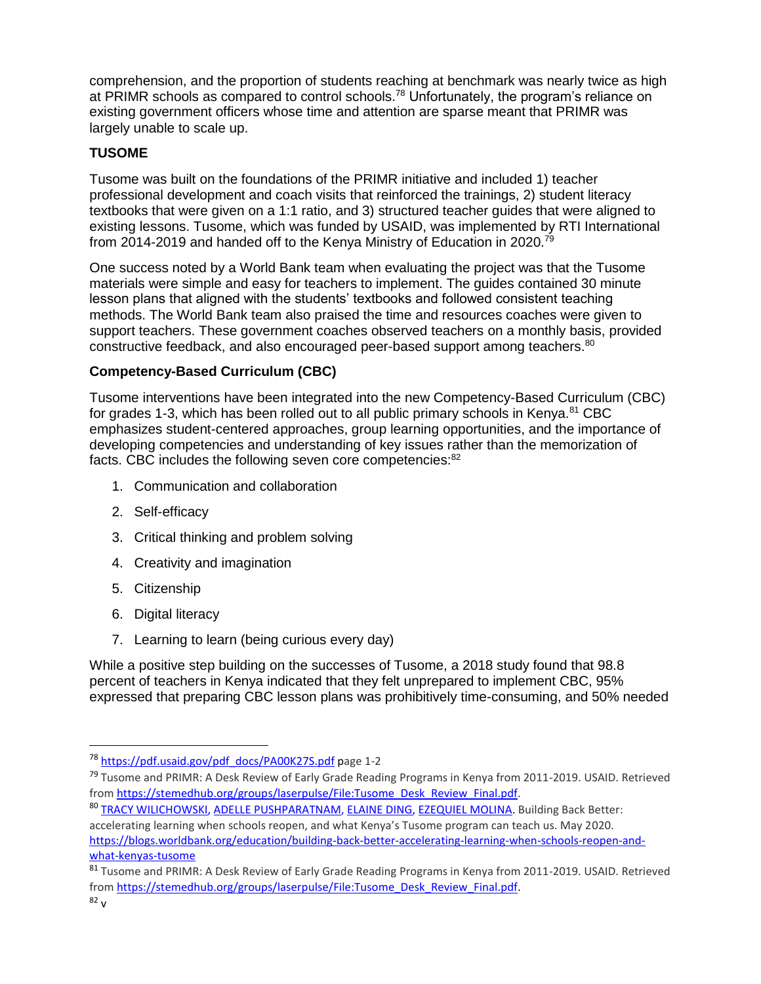comprehension, and the proportion of students reaching at benchmark was nearly twice as high at PRIMR schools as compared to control schools.<sup>78</sup> Unfortunately, the program's reliance on existing government officers whose time and attention are sparse meant that PRIMR was largely unable to scale up.

# **TUSOME**

Tusome was built on the foundations of the PRIMR initiative and included 1) teacher professional development and coach visits that reinforced the trainings, 2) student literacy textbooks that were given on a 1:1 ratio, and 3) structured teacher guides that were aligned to existing lessons. Tusome, which was funded by USAID, was implemented by RTI International from 2014-2019 and handed off to the Kenya Ministry of Education in 2020.<sup>79</sup>

One success noted by a World Bank team when evaluating the project was that the Tusome materials were simple and easy for teachers to implement. The guides contained 30 minute lesson plans that aligned with the students' textbooks and followed consistent teaching methods. The World Bank team also praised the time and resources coaches were given to support teachers. These government coaches observed teachers on a monthly basis, provided constructive feedback, and also encouraged peer-based support among teachers.<sup>80</sup>

# **Competency-Based Curriculum (CBC)**

Tusome interventions have been integrated into the new Competency-Based Curriculum (CBC) for grades 1-3, which has been rolled out to all public primary schools in Kenya. $81$  CBC emphasizes student-centered approaches, group learning opportunities, and the importance of developing competencies and understanding of key issues rather than the memorization of facts. CBC includes the following seven core competencies: 82

- 1. Communication and collaboration
- 2. Self-efficacy
- 3. Critical thinking and problem solving
- 4. Creativity and imagination
- 5. Citizenship
- 6. Digital literacy
- 7. Learning to learn (being curious every day)

While a positive step building on the successes of Tusome, a 2018 study found that 98.8 percent of teachers in Kenya indicated that they felt unprepared to implement CBC, 95% expressed that preparing CBC lesson plans was prohibitively time-consuming, and 50% needed

<sup>&</sup>lt;sup>78</sup> [https://pdf.usaid.gov/pdf\\_docs/PA00K27S.pdf](https://pdf.usaid.gov/pdf_docs/PA00K27S.pdf) page 1-2

<sup>&</sup>lt;sup>79</sup> Tusome and PRIMR: A Desk Review of Early Grade Reading Programs in Kenya from 2011-2019. USAID. Retrieved from [https://stemedhub.org/groups/laserpulse/File:Tusome\\_Desk\\_Review\\_Final.pdf.](https://stemedhub.org/groups/laserpulse/File:Tusome_Desk_Review_Final.pdf)

<sup>80</sup> [TRACY WILICHOWSKI,](https://blogs.worldbank.org/team/tracy-wilichowski) [ADELLE PUSHPARATNAM,](https://blogs.worldbank.org/team/adelle-pushparatnam) [ELAINE DING,](https://blogs.worldbank.org/team/elaine-ding) [EZEQUIEL MOLINA.](https://blogs.worldbank.org/team/ezequiel-molina) Building Back Better: accelerating learning when schools reopen, and what Kenya's Tusome program can teach us. May 2020. [https://blogs.worldbank.org/education/building-back-better-accelerating-learning-when-schools-reopen-and](https://blogs.worldbank.org/education/building-back-better-accelerating-learning-when-schools-reopen-and-what-kenyas-tusome)[what-kenyas-tusome](https://blogs.worldbank.org/education/building-back-better-accelerating-learning-when-schools-reopen-and-what-kenyas-tusome)

<sup>81</sup> Tusome and PRIMR: A Desk Review of Early Grade Reading Programs in Kenya from 2011-2019. USAID. Retrieved from [https://stemedhub.org/groups/laserpulse/File:Tusome\\_Desk\\_Review\\_Final.pdf.](https://stemedhub.org/groups/laserpulse/File:Tusome_Desk_Review_Final.pdf)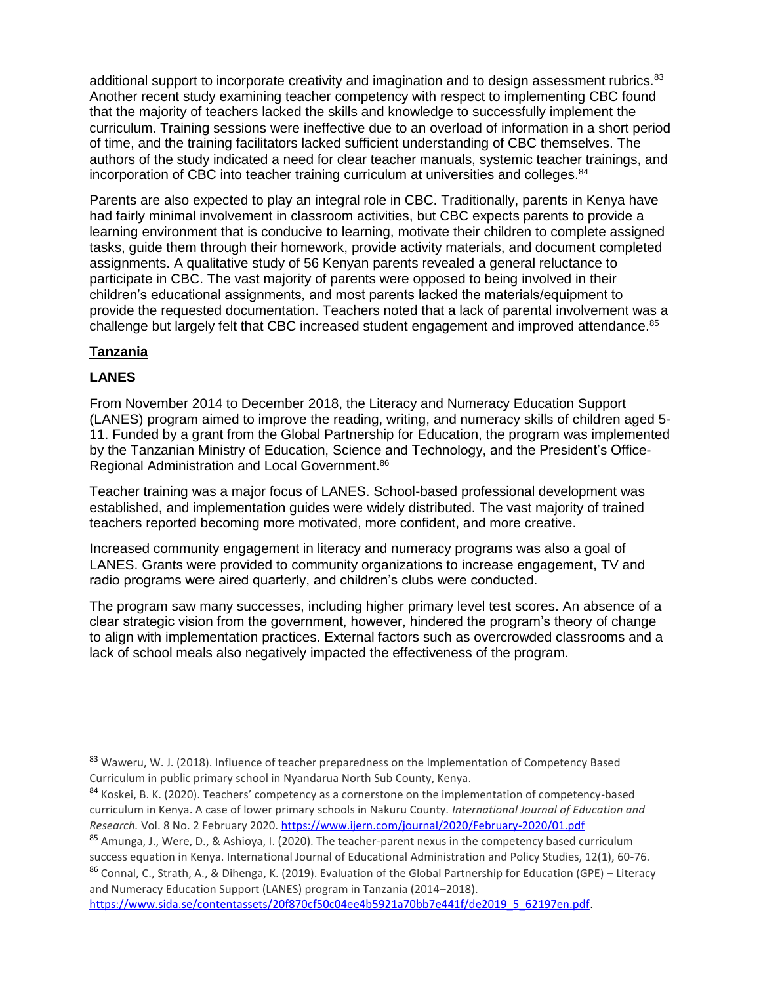additional support to incorporate creativity and imagination and to design assessment rubrics.<sup>83</sup> Another recent study examining teacher competency with respect to implementing CBC found that the majority of teachers lacked the skills and knowledge to successfully implement the curriculum. Training sessions were ineffective due to an overload of information in a short period of time, and the training facilitators lacked sufficient understanding of CBC themselves. The authors of the study indicated a need for clear teacher manuals, systemic teacher trainings, and incorporation of CBC into teacher training curriculum at universities and colleges. $84$ 

Parents are also expected to play an integral role in CBC. Traditionally, parents in Kenya have had fairly minimal involvement in classroom activities, but CBC expects parents to provide a learning environment that is conducive to learning, motivate their children to complete assigned tasks, guide them through their homework, provide activity materials, and document completed assignments. A qualitative study of 56 Kenyan parents revealed a general reluctance to participate in CBC. The vast majority of parents were opposed to being involved in their children's educational assignments, and most parents lacked the materials/equipment to provide the requested documentation. Teachers noted that a lack of parental involvement was a challenge but largely felt that CBC increased student engagement and improved attendance.<sup>85</sup>

# **Tanzania**

# **LANES**

 $\overline{\phantom{a}}$ 

From November 2014 to December 2018, the Literacy and Numeracy Education Support (LANES) program aimed to improve the reading, writing, and numeracy skills of children aged 5- 11. Funded by a grant from the Global Partnership for Education, the program was implemented by the Tanzanian Ministry of Education, Science and Technology, and the President's Office-Regional Administration and Local Government.<sup>86</sup>

Teacher training was a major focus of LANES. School-based professional development was established, and implementation guides were widely distributed. The vast majority of trained teachers reported becoming more motivated, more confident, and more creative.

Increased community engagement in literacy and numeracy programs was also a goal of LANES. Grants were provided to community organizations to increase engagement, TV and radio programs were aired quarterly, and children's clubs were conducted.

The program saw many successes, including higher primary level test scores. An absence of a clear strategic vision from the government, however, hindered the program's theory of change to align with implementation practices. External factors such as overcrowded classrooms and a lack of school meals also negatively impacted the effectiveness of the program.

[https://www.sida.se/contentassets/20f870cf50c04ee4b5921a70bb7e441f/de2019\\_5\\_62197en.pdf.](https://www.sida.se/contentassets/20f870cf50c04ee4b5921a70bb7e441f/de2019_5_62197en.pdf)

<sup>83</sup> Waweru, W. J. (2018). Influence of teacher preparedness on the Implementation of Competency Based Curriculum in public primary school in Nyandarua North Sub County, Kenya.

<sup>84</sup> Koskei, B. K. (2020). Teachers' competency as a cornerstone on the implementation of competency-based curriculum in Kenya. A case of lower primary schools in Nakuru County. *International Journal of Education and Research.* Vol. 8 No. 2 February 2020. <https://www.ijern.com/journal/2020/February-2020/01.pdf>

<sup>85</sup> Amunga, J., Were, D., & Ashioya, I. (2020). The teacher-parent nexus in the competency based curriculum success equation in Kenya. International Journal of Educational Administration and Policy Studies, 12(1), 60-76. 86 Connal, C., Strath, A., & Dihenga, K. (2019). Evaluation of the Global Partnership for Education (GPE) – Literacy and Numeracy Education Support (LANES) program in Tanzania (2014–2018).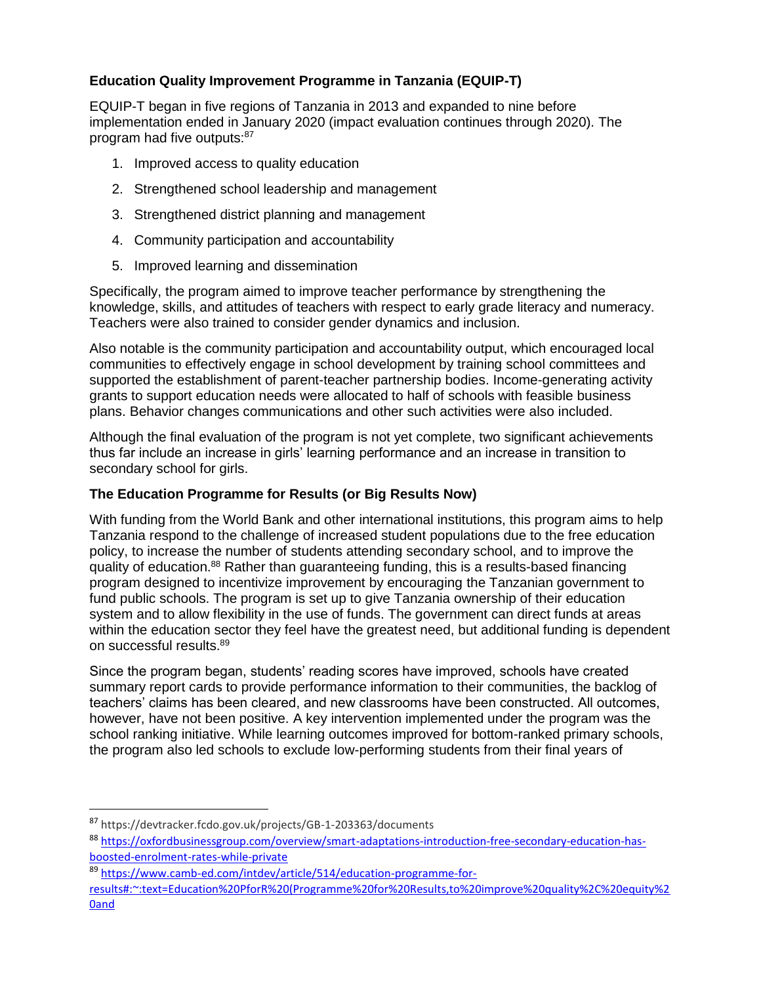# **Education Quality Improvement Programme in Tanzania (EQUIP-T)**

EQUIP-T began in five regions of Tanzania in 2013 and expanded to nine before implementation ended in January 2020 (impact evaluation continues through 2020). The program had five outputs:<sup>87</sup>

- 1. Improved access to quality education
- 2. Strengthened school leadership and management
- 3. Strengthened district planning and management
- 4. Community participation and accountability
- 5. Improved learning and dissemination

Specifically, the program aimed to improve teacher performance by strengthening the knowledge, skills, and attitudes of teachers with respect to early grade literacy and numeracy. Teachers were also trained to consider gender dynamics and inclusion.

Also notable is the community participation and accountability output, which encouraged local communities to effectively engage in school development by training school committees and supported the establishment of parent-teacher partnership bodies. Income-generating activity grants to support education needs were allocated to half of schools with feasible business plans. Behavior changes communications and other such activities were also included.

Although the final evaluation of the program is not yet complete, two significant achievements thus far include an increase in girls' learning performance and an increase in transition to secondary school for girls.

### **The Education Programme for Results (or Big Results Now)**

With funding from the World Bank and other international institutions, this program aims to help Tanzania respond to the challenge of increased student populations due to the free education policy, to increase the number of students attending secondary school, and to improve the quality of education.<sup>88</sup> Rather than guaranteeing funding, this is a results-based financing program designed to incentivize improvement by encouraging the Tanzanian government to fund public schools. The program is set up to give Tanzania ownership of their education system and to allow flexibility in the use of funds. The government can direct funds at areas within the education sector they feel have the greatest need, but additional funding is dependent on successful results.<sup>89</sup>

Since the program began, students' reading scores have improved, schools have created summary report cards to provide performance information to their communities, the backlog of teachers' claims has been cleared, and new classrooms have been constructed. All outcomes, however, have not been positive. A key intervention implemented under the program was the school ranking initiative. While learning outcomes improved for bottom-ranked primary schools, the program also led schools to exclude low-performing students from their final years of

l

<sup>87</sup> https://devtracker.fcdo.gov.uk/projects/GB-1-203363/documents

<sup>88</sup> [https://oxfordbusinessgroup.com/overview/smart-adaptations-introduction-free-secondary-education-has](https://oxfordbusinessgroup.com/overview/smart-adaptations-introduction-free-secondary-education-has-boosted-enrolment-rates-while-private)[boosted-enrolment-rates-while-private](https://oxfordbusinessgroup.com/overview/smart-adaptations-introduction-free-secondary-education-has-boosted-enrolment-rates-while-private)

<sup>89</sup> [https://www.camb-ed.com/intdev/article/514/education-programme-for-](https://www.camb-ed.com/intdev/article/514/education-programme-for-results#:~:text=Education%20PforR%20(Programme%20for%20Results,to%20improve%20quality%2C%20equity%20and)

[results#:~:text=Education%20PforR%20\(Programme%20for%20Results,to%20improve%20quality%2C%20equity%2](https://www.camb-ed.com/intdev/article/514/education-programme-for-results#:~:text=Education%20PforR%20(Programme%20for%20Results,to%20improve%20quality%2C%20equity%20and) [0and](https://www.camb-ed.com/intdev/article/514/education-programme-for-results#:~:text=Education%20PforR%20(Programme%20for%20Results,to%20improve%20quality%2C%20equity%20and)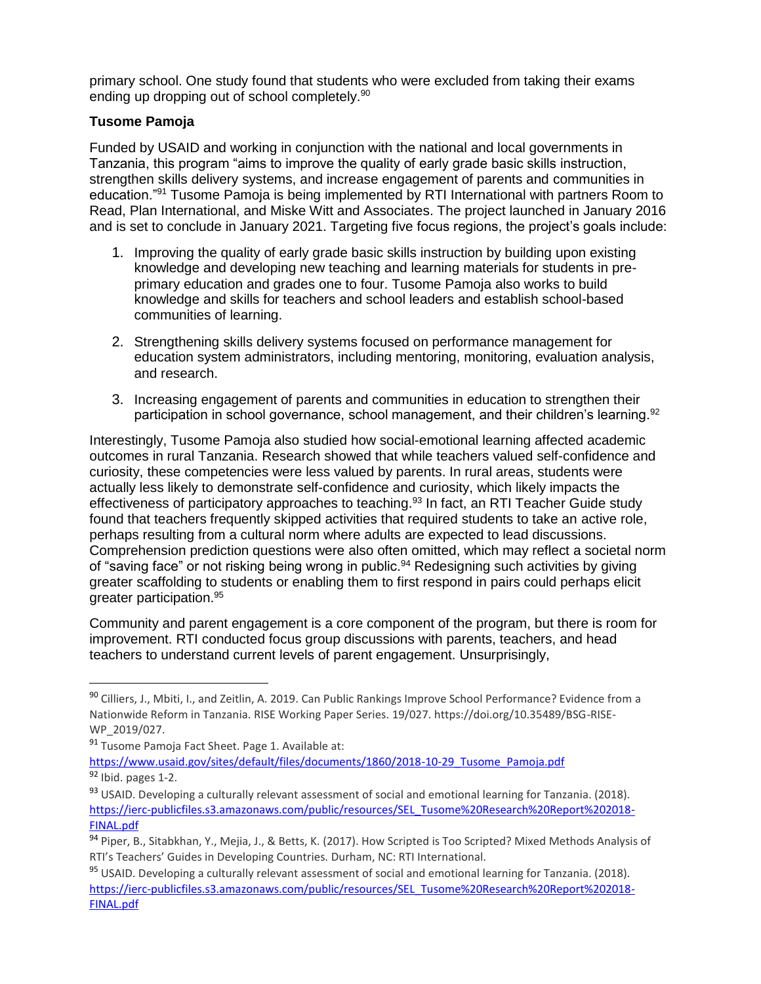primary school. One study found that students who were excluded from taking their exams ending up dropping out of school completely.<sup>90</sup>

## **Tusome Pamoja**

Funded by USAID and working in conjunction with the national and local governments in Tanzania, this program "aims to improve the quality of early grade basic skills instruction, strengthen skills delivery systems, and increase engagement of parents and communities in education."<sup>91</sup> Tusome Pamoja is being implemented by RTI International with partners Room to Read, Plan International, and Miske Witt and Associates. The project launched in January 2016 and is set to conclude in January 2021. Targeting five focus regions, the project's goals include:

- 1. Improving the quality of early grade basic skills instruction by building upon existing knowledge and developing new teaching and learning materials for students in preprimary education and grades one to four. Tusome Pamoja also works to build knowledge and skills for teachers and school leaders and establish school-based communities of learning.
- 2. Strengthening skills delivery systems focused on performance management for education system administrators, including mentoring, monitoring, evaluation analysis, and research.
- 3. Increasing engagement of parents and communities in education to strengthen their participation in school governance, school management, and their children's learning.<sup>92</sup>

Interestingly, Tusome Pamoja also studied how social-emotional learning affected academic outcomes in rural Tanzania. Research showed that while teachers valued self-confidence and curiosity, these competencies were less valued by parents. In rural areas, students were actually less likely to demonstrate self-confidence and curiosity, which likely impacts the effectiveness of participatory approaches to teaching.<sup>93</sup> In fact, an RTI Teacher Guide study found that teachers frequently skipped activities that required students to take an active role, perhaps resulting from a cultural norm where adults are expected to lead discussions. Comprehension prediction questions were also often omitted, which may reflect a societal norm of "saving face" or not risking being wrong in public.<sup>94</sup> Redesigning such activities by giving greater scaffolding to students or enabling them to first respond in pairs could perhaps elicit greater participation.<sup>95</sup>

Community and parent engagement is a core component of the program, but there is room for improvement. RTI conducted focus group discussions with parents, teachers, and head teachers to understand current levels of parent engagement. Unsurprisingly,

<sup>90</sup> Cilliers, J., Mbiti, I., and Zeitlin, A. 2019. Can Public Rankings Improve School Performance? Evidence from a Nationwide Reform in Tanzania. RISE Working Paper Series. 19/027. https://doi.org/10.35489/BSG-RISE-WP\_2019/027.

<sup>91</sup> Tusome Pamoja Fact Sheet. Page 1. Available at:

[https://www.usaid.gov/sites/default/files/documents/1860/2018-10-29\\_Tusome\\_Pamoja.pdf](https://www.usaid.gov/sites/default/files/documents/1860/2018-10-29_Tusome_Pamoja.pdf) <sup>92</sup> Ibid. pages 1-2.

<sup>93</sup> USAID. Developing a culturally relevant assessment of social and emotional learning for Tanzania. (2018). [https://ierc-publicfiles.s3.amazonaws.com/public/resources/SEL\\_Tusome%20Research%20Report%202018-](https://ierc-publicfiles.s3.amazonaws.com/public/resources/SEL_Tusome%20Research%20Report%202018-FINAL.pdf) [FINAL.pdf](https://ierc-publicfiles.s3.amazonaws.com/public/resources/SEL_Tusome%20Research%20Report%202018-FINAL.pdf)

<sup>94</sup> Piper, B., Sitabkhan, Y., Mejia, J., & Betts, K. (2017). How Scripted is Too Scripted? Mixed Methods Analysis of RTI's Teachers' Guides in Developing Countries. Durham, NC: RTI International.

<sup>95</sup> USAID. Developing a culturally relevant assessment of social and emotional learning for Tanzania. (2018). [https://ierc-publicfiles.s3.amazonaws.com/public/resources/SEL\\_Tusome%20Research%20Report%202018-](https://ierc-publicfiles.s3.amazonaws.com/public/resources/SEL_Tusome%20Research%20Report%202018-FINAL.pdf) [FINAL.pdf](https://ierc-publicfiles.s3.amazonaws.com/public/resources/SEL_Tusome%20Research%20Report%202018-FINAL.pdf)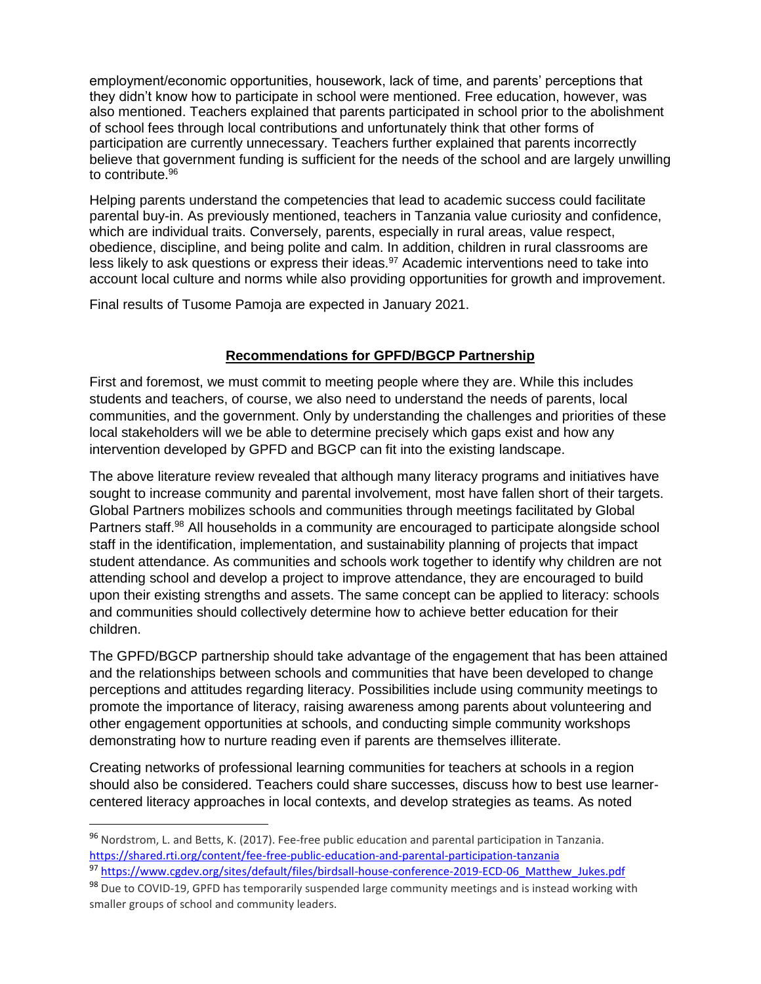employment/economic opportunities, housework, lack of time, and parents' perceptions that they didn't know how to participate in school were mentioned. Free education, however, was also mentioned. Teachers explained that parents participated in school prior to the abolishment of school fees through local contributions and unfortunately think that other forms of participation are currently unnecessary. Teachers further explained that parents incorrectly believe that government funding is sufficient for the needs of the school and are largely unwilling to contribute. 96

Helping parents understand the competencies that lead to academic success could facilitate parental buy-in. As previously mentioned, teachers in Tanzania value curiosity and confidence, which are individual traits. Conversely, parents, especially in rural areas, value respect, obedience, discipline, and being polite and calm. In addition, children in rural classrooms are less likely to ask questions or express their ideas.<sup>97</sup> Academic interventions need to take into account local culture and norms while also providing opportunities for growth and improvement.

Final results of Tusome Pamoja are expected in January 2021.

## **Recommendations for GPFD/BGCP Partnership**

First and foremost, we must commit to meeting people where they are. While this includes students and teachers, of course, we also need to understand the needs of parents, local communities, and the government. Only by understanding the challenges and priorities of these local stakeholders will we be able to determine precisely which gaps exist and how any intervention developed by GPFD and BGCP can fit into the existing landscape.

The above literature review revealed that although many literacy programs and initiatives have sought to increase community and parental involvement, most have fallen short of their targets. Global Partners mobilizes schools and communities through meetings facilitated by Global Partners staff.<sup>98</sup> All households in a community are encouraged to participate alongside school staff in the identification, implementation, and sustainability planning of projects that impact student attendance. As communities and schools work together to identify why children are not attending school and develop a project to improve attendance, they are encouraged to build upon their existing strengths and assets. The same concept can be applied to literacy: schools and communities should collectively determine how to achieve better education for their children.

The GPFD/BGCP partnership should take advantage of the engagement that has been attained and the relationships between schools and communities that have been developed to change perceptions and attitudes regarding literacy. Possibilities include using community meetings to promote the importance of literacy, raising awareness among parents about volunteering and other engagement opportunities at schools, and conducting simple community workshops demonstrating how to nurture reading even if parents are themselves illiterate.

Creating networks of professional learning communities for teachers at schools in a region should also be considered. Teachers could share successes, discuss how to best use learnercentered literacy approaches in local contexts, and develop strategies as teams. As noted

<sup>96</sup> Nordstrom, L. and Betts, K. (2017). Fee-free public education and parental participation in Tanzania. <https://shared.rti.org/content/fee-free-public-education-and-parental-participation-tanzania>

<sup>97</sup> [https://www.cgdev.org/sites/default/files/birdsall-house-conference-2019-ECD-06\\_Matthew\\_Jukes.pdf](https://www.cgdev.org/sites/default/files/birdsall-house-conference-2019-ECD-06_Matthew_Jukes.pdf)

<sup>98</sup> Due to COVID-19, GPFD has temporarily suspended large community meetings and is instead working with smaller groups of school and community leaders.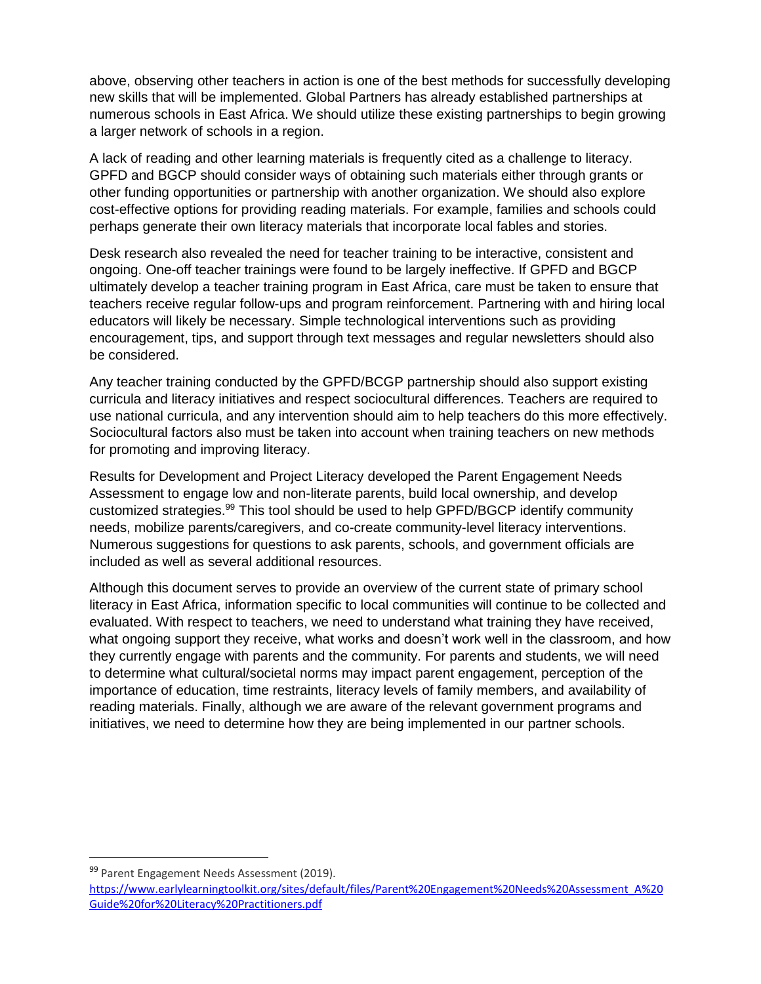above, observing other teachers in action is one of the best methods for successfully developing new skills that will be implemented. Global Partners has already established partnerships at numerous schools in East Africa. We should utilize these existing partnerships to begin growing a larger network of schools in a region.

A lack of reading and other learning materials is frequently cited as a challenge to literacy. GPFD and BGCP should consider ways of obtaining such materials either through grants or other funding opportunities or partnership with another organization. We should also explore cost-effective options for providing reading materials. For example, families and schools could perhaps generate their own literacy materials that incorporate local fables and stories.

Desk research also revealed the need for teacher training to be interactive, consistent and ongoing. One-off teacher trainings were found to be largely ineffective. If GPFD and BGCP ultimately develop a teacher training program in East Africa, care must be taken to ensure that teachers receive regular follow-ups and program reinforcement. Partnering with and hiring local educators will likely be necessary. Simple technological interventions such as providing encouragement, tips, and support through text messages and regular newsletters should also be considered.

Any teacher training conducted by the GPFD/BCGP partnership should also support existing curricula and literacy initiatives and respect sociocultural differences. Teachers are required to use national curricula, and any intervention should aim to help teachers do this more effectively. Sociocultural factors also must be taken into account when training teachers on new methods for promoting and improving literacy.

Results for Development and Project Literacy developed the Parent Engagement Needs Assessment to engage low and non-literate parents, build local ownership, and develop customized strategies.<sup>99</sup> This tool should be used to help GPFD/BGCP identify community needs, mobilize parents/caregivers, and co-create community-level literacy interventions. Numerous suggestions for questions to ask parents, schools, and government officials are included as well as several additional resources.

Although this document serves to provide an overview of the current state of primary school literacy in East Africa, information specific to local communities will continue to be collected and evaluated. With respect to teachers, we need to understand what training they have received, what ongoing support they receive, what works and doesn't work well in the classroom, and how they currently engage with parents and the community. For parents and students, we will need to determine what cultural/societal norms may impact parent engagement, perception of the importance of education, time restraints, literacy levels of family members, and availability of reading materials. Finally, although we are aware of the relevant government programs and initiatives, we need to determine how they are being implemented in our partner schools.

l

<sup>99</sup> Parent Engagement Needs Assessment (2019).

[https://www.earlylearningtoolkit.org/sites/default/files/Parent%20Engagement%20Needs%20Assessment\\_A%20](https://www.earlylearningtoolkit.org/sites/default/files/Parent%20Engagement%20Needs%20Assessment_A%20Guide%20for%20Literacy%20Practitioners.pdf) [Guide%20for%20Literacy%20Practitioners.pdf](https://www.earlylearningtoolkit.org/sites/default/files/Parent%20Engagement%20Needs%20Assessment_A%20Guide%20for%20Literacy%20Practitioners.pdf)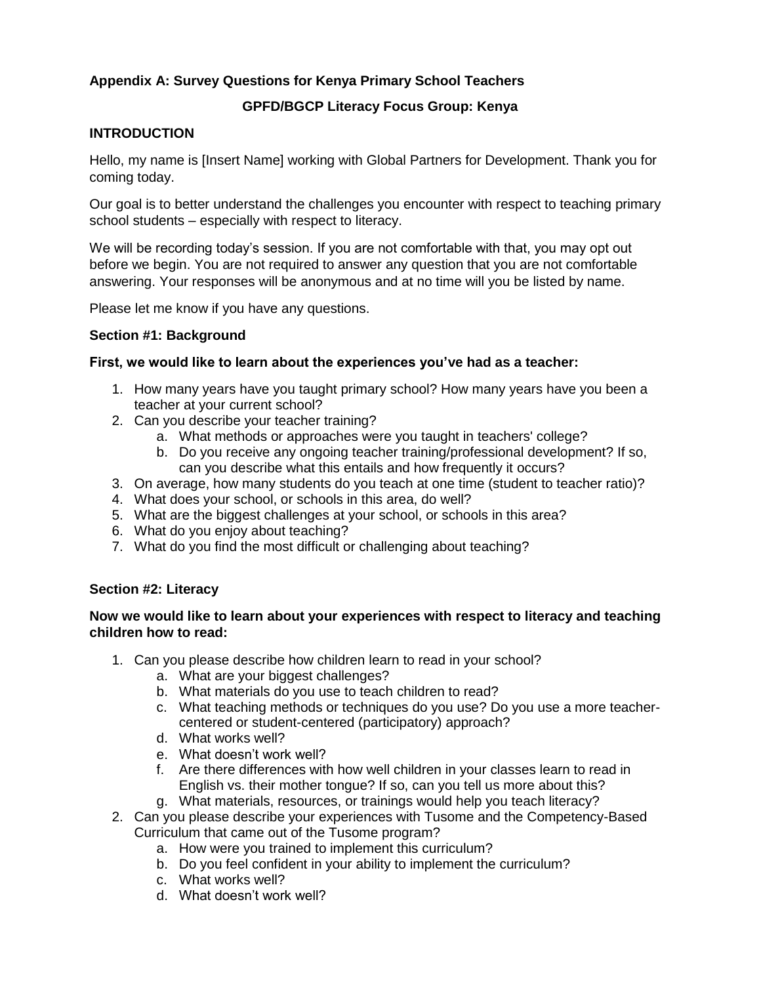## **Appendix A: Survey Questions for Kenya Primary School Teachers**

## **GPFD/BGCP Literacy Focus Group: Kenya**

## **INTRODUCTION**

Hello, my name is [Insert Name] working with Global Partners for Development. Thank you for coming today.

Our goal is to better understand the challenges you encounter with respect to teaching primary school students – especially with respect to literacy.

We will be recording today's session. If you are not comfortable with that, you may opt out before we begin. You are not required to answer any question that you are not comfortable answering. Your responses will be anonymous and at no time will you be listed by name.

Please let me know if you have any questions.

#### **Section #1: Background**

#### **First, we would like to learn about the experiences you've had as a teacher:**

- 1. How many years have you taught primary school? How many years have you been a teacher at your current school?
- 2. Can you describe your teacher training?
	- a. What methods or approaches were you taught in teachers' college?
	- b. Do you receive any ongoing teacher training/professional development? If so, can you describe what this entails and how frequently it occurs?
- 3. On average, how many students do you teach at one time (student to teacher ratio)?
- 4. What does your school, or schools in this area, do well?
- 5. What are the biggest challenges at your school, or schools in this area?
- 6. What do you enjoy about teaching?
- 7. What do you find the most difficult or challenging about teaching?

#### **Section #2: Literacy**

#### **Now we would like to learn about your experiences with respect to literacy and teaching children how to read:**

- 1. Can you please describe how children learn to read in your school?
	- a. What are your biggest challenges?
	- b. What materials do you use to teach children to read?
	- c. What teaching methods or techniques do you use? Do you use a more teachercentered or student-centered (participatory) approach?
	- d. What works well?
	- e. What doesn't work well?
	- f. Are there differences with how well children in your classes learn to read in English vs. their mother tongue? If so, can you tell us more about this?
	- g. What materials, resources, or trainings would help you teach literacy?
- 2. Can you please describe your experiences with Tusome and the Competency-Based Curriculum that came out of the Tusome program?
	- a. How were you trained to implement this curriculum?
	- b. Do you feel confident in your ability to implement the curriculum?
	- c. What works well?
	- d. What doesn't work well?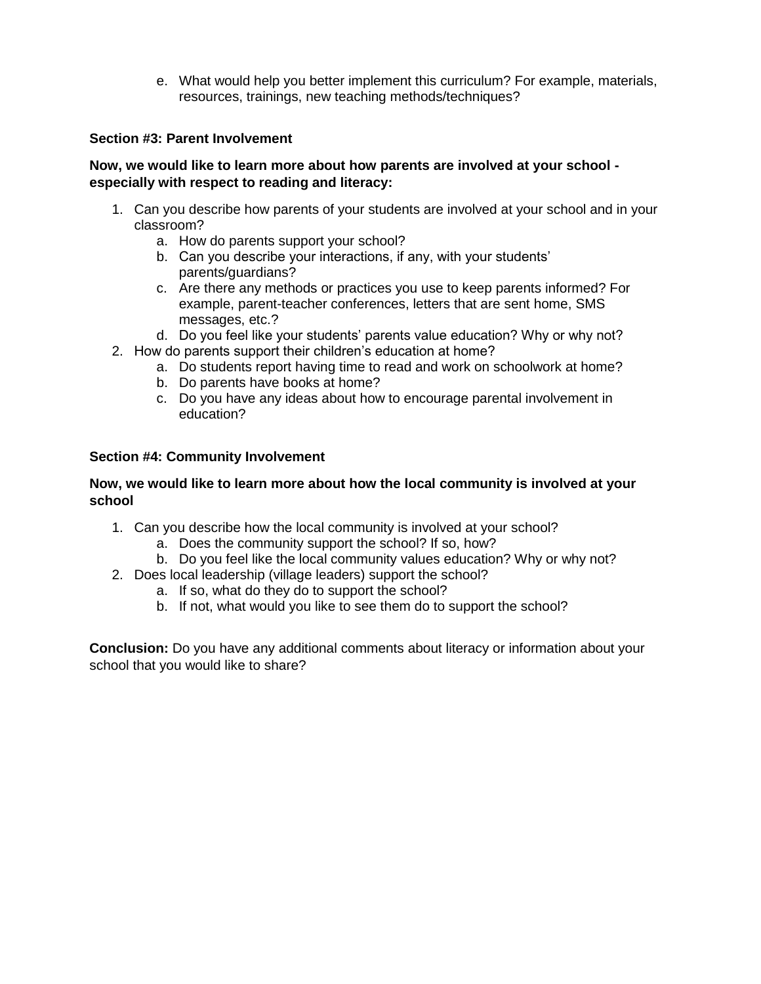e. What would help you better implement this curriculum? For example, materials, resources, trainings, new teaching methods/techniques?

### **Section #3: Parent Involvement**

#### **Now, we would like to learn more about how parents are involved at your school especially with respect to reading and literacy:**

- 1. Can you describe how parents of your students are involved at your school and in your classroom?
	- a. How do parents support your school?
	- b. Can you describe your interactions, if any, with your students' parents/guardians?
	- c. Are there any methods or practices you use to keep parents informed? For example, parent-teacher conferences, letters that are sent home, SMS messages, etc.?
	- d. Do you feel like your students' parents value education? Why or why not?
- 2. How do parents support their children's education at home?
	- a. Do students report having time to read and work on schoolwork at home?
	- b. Do parents have books at home?
	- c. Do you have any ideas about how to encourage parental involvement in education?

#### **Section #4: Community Involvement**

#### **Now, we would like to learn more about how the local community is involved at your school**

- 1. Can you describe how the local community is involved at your school?
	- a. Does the community support the school? If so, how?
	- b. Do you feel like the local community values education? Why or why not?
- 2. Does local leadership (village leaders) support the school?
	- a. If so, what do they do to support the school?
	- b. If not, what would you like to see them do to support the school?

**Conclusion:** Do you have any additional comments about literacy or information about your school that you would like to share?